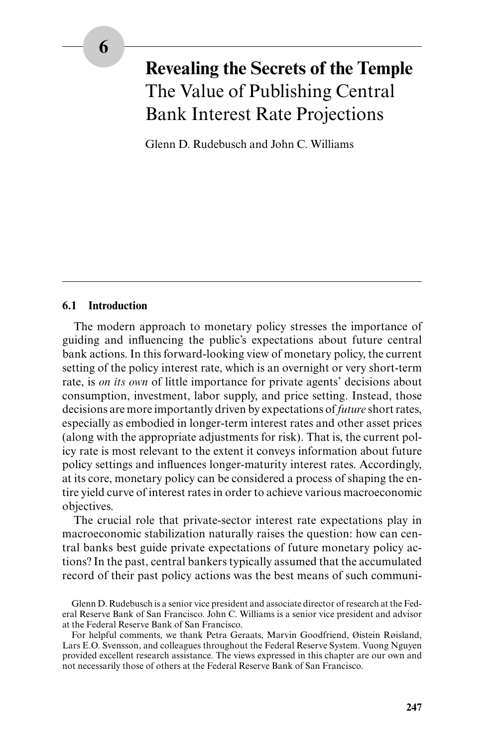# **Revealing the Secrets of the Temple** The Value of Publishing Central Bank Interest Rate Projections

Glenn D. Rudebusch and John C. Williams

## **6.1 Introduction**

The modern approach to monetary policy stresses the importance of guiding and influencing the public's expectations about future central bank actions. In this forward-looking view of monetary policy, the current setting of the policy interest rate, which is an overnight or very short-term rate, is *on its own* of little importance for private agents' decisions about consumption, investment, labor supply, and price setting. Instead, those decisions are more importantly driven by expectations of *future* short rates, especially as embodied in longer-term interest rates and other asset prices (along with the appropriate adjustments for risk). That is, the current policy rate is most relevant to the extent it conveys information about future policy settings and influences longer-maturity interest rates. Accordingly, at its core, monetary policy can be considered a process of shaping the entire yield curve of interest rates in order to achieve various macroeconomic objectives.

The crucial role that private-sector interest rate expectations play in macroeconomic stabilization naturally raises the question: how can central banks best guide private expectations of future monetary policy actions? In the past, central bankers typically assumed that the accumulated record of their past policy actions was the best means of such communi-

Glenn D. Rudebusch is a senior vice president and associate director of research at the Federal Reserve Bank of San Francisco. John C. Williams is a senior vice president and advisor at the Federal Reserve Bank of San Francisco.

For helpful comments, we thank Petra Geraats, Marvin Goodfriend, Øistein Røisland, Lars E.O. Svensson, and colleagues throughout the Federal Reserve System. Vuong Nguyen provided excellent research assistance. The views expressed in this chapter are our own and not necessarily those of others at the Federal Reserve Bank of San Francisco.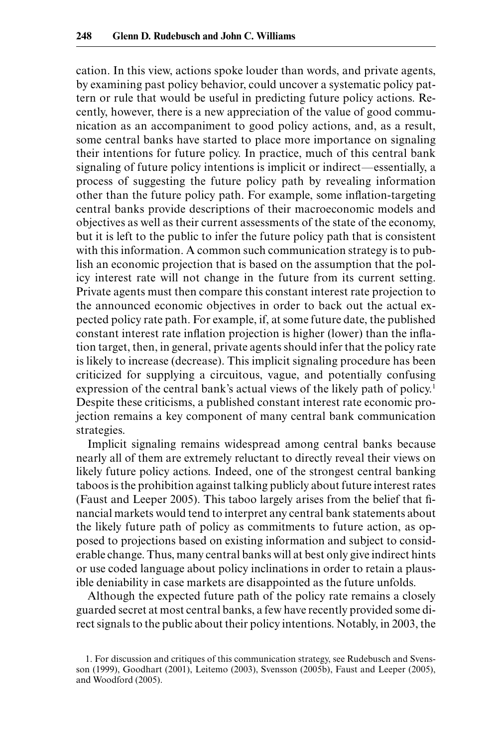cation. In this view, actions spoke louder than words, and private agents, by examining past policy behavior, could uncover a systematic policy pattern or rule that would be useful in predicting future policy actions. Recently, however, there is a new appreciation of the value of good communication as an accompaniment to good policy actions, and, as a result, some central banks have started to place more importance on signaling their intentions for future policy. In practice, much of this central bank signaling of future policy intentions is implicit or indirect—essentially, a process of suggesting the future policy path by revealing information other than the future policy path. For example, some inflation-targeting central banks provide descriptions of their macroeconomic models and objectives as well as their current assessments of the state of the economy, but it is left to the public to infer the future policy path that is consistent with this information. A common such communication strategy is to publish an economic projection that is based on the assumption that the policy interest rate will not change in the future from its current setting. Private agents must then compare this constant interest rate projection to the announced economic objectives in order to back out the actual expected policy rate path. For example, if, at some future date, the published constant interest rate inflation projection is higher (lower) than the inflation target, then, in general, private agents should infer that the policy rate is likely to increase (decrease). This implicit signaling procedure has been criticized for supplying a circuitous, vague, and potentially confusing expression of the central bank's actual views of the likely path of policy.<sup>1</sup> Despite these criticisms, a published constant interest rate economic projection remains a key component of many central bank communication strategies.

Implicit signaling remains widespread among central banks because nearly all of them are extremely reluctant to directly reveal their views on likely future policy actions. Indeed, one of the strongest central banking taboos is the prohibition against talking publicly about future interest rates (Faust and Leeper 2005). This taboo largely arises from the belief that financial markets would tend to interpret any central bank statements about the likely future path of policy as commitments to future action, as opposed to projections based on existing information and subject to considerable change. Thus, many central banks will at best only give indirect hints or use coded language about policy inclinations in order to retain a plausible deniability in case markets are disappointed as the future unfolds.

Although the expected future path of the policy rate remains a closely guarded secret at most central banks, a few have recently provided some direct signals to the public about their policy intentions. Notably, in 2003, the

<sup>1.</sup> For discussion and critiques of this communication strategy, see Rudebusch and Svensson (1999), Goodhart (2001), Leitemo (2003), Svensson (2005b), Faust and Leeper (2005), and Woodford (2005).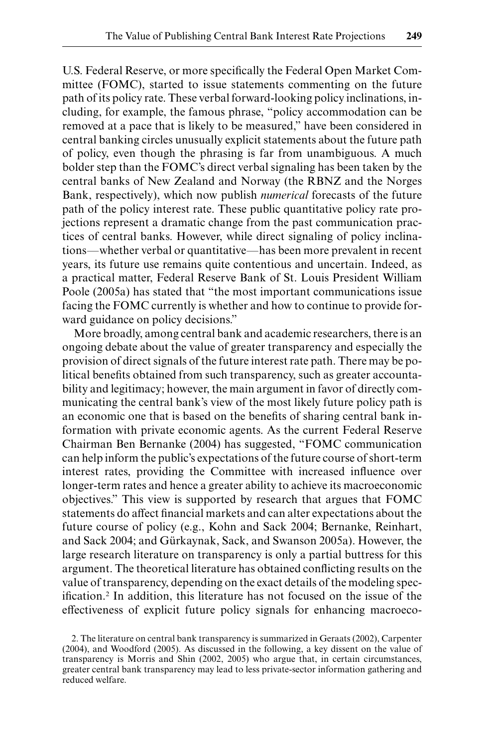U.S. Federal Reserve, or more specifically the Federal Open Market Committee (FOMC), started to issue statements commenting on the future path of its policy rate. These verbal forward-looking policy inclinations, including, for example, the famous phrase, "policy accommodation can be removed at a pace that is likely to be measured," have been considered in central banking circles unusually explicit statements about the future path of policy, even though the phrasing is far from unambiguous. A much bolder step than the FOMC's direct verbal signaling has been taken by the central banks of New Zealand and Norway (the RBNZ and the Norges Bank, respectively), which now publish *numerical* forecasts of the future path of the policy interest rate. These public quantitative policy rate projections represent a dramatic change from the past communication practices of central banks. However, while direct signaling of policy inclinations—whether verbal or quantitative—has been more prevalent in recent years, its future use remains quite contentious and uncertain. Indeed, as a practical matter, Federal Reserve Bank of St. Louis President William Poole (2005a) has stated that "the most important communications issue facing the FOMC currently is whether and how to continue to provide forward guidance on policy decisions."

More broadly, among central bank and academic researchers, there is an ongoing debate about the value of greater transparency and especially the provision of direct signals of the future interest rate path. There may be political benefits obtained from such transparency, such as greater accountability and legitimacy; however, the main argument in favor of directly communicating the central bank's view of the most likely future policy path is an economic one that is based on the benefits of sharing central bank information with private economic agents. As the current Federal Reserve Chairman Ben Bernanke (2004) has suggested, "FOMC communication can help inform the public's expectations of the future course of short-term interest rates, providing the Committee with increased influence over longer-term rates and hence a greater ability to achieve its macroeconomic objectives." This view is supported by research that argues that FOMC statements do affect financial markets and can alter expectations about the future course of policy (e.g., Kohn and Sack 2004; Bernanke, Reinhart, and Sack 2004; and Gürkaynak, Sack, and Swanson 2005a). However, the large research literature on transparency is only a partial buttress for this argument. The theoretical literature has obtained conflicting results on the value of transparency, depending on the exact details of the modeling specification.2 In addition, this literature has not focused on the issue of the effectiveness of explicit future policy signals for enhancing macroeco-

<sup>2.</sup> The literature on central bank transparency is summarized in Geraats (2002), Carpenter (2004), and Woodford (2005). As discussed in the following, a key dissent on the value of transparency is Morris and Shin (2002, 2005) who argue that, in certain circumstances, greater central bank transparency may lead to less private-sector information gathering and reduced welfare.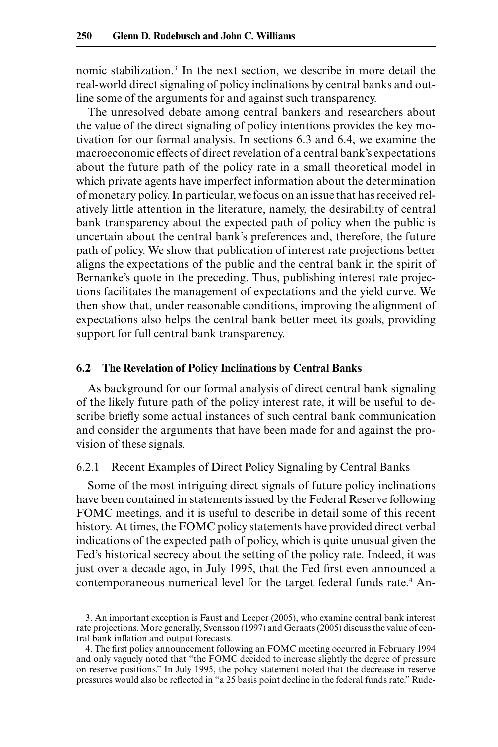nomic stabilization.3 In the next section, we describe in more detail the real-world direct signaling of policy inclinations by central banks and outline some of the arguments for and against such transparency.

The unresolved debate among central bankers and researchers about the value of the direct signaling of policy intentions provides the key motivation for our formal analysis. In sections 6.3 and 6.4, we examine the macroeconomic effects of direct revelation of a central bank's expectations about the future path of the policy rate in a small theoretical model in which private agents have imperfect information about the determination of monetary policy. In particular, we focus on an issue that has received relatively little attention in the literature, namely, the desirability of central bank transparency about the expected path of policy when the public is uncertain about the central bank's preferences and, therefore, the future path of policy. We show that publication of interest rate projections better aligns the expectations of the public and the central bank in the spirit of Bernanke's quote in the preceding. Thus, publishing interest rate projections facilitates the management of expectations and the yield curve. We then show that, under reasonable conditions, improving the alignment of expectations also helps the central bank better meet its goals, providing support for full central bank transparency.

#### **6.2 The Revelation of Policy Inclinations by Central Banks**

As background for our formal analysis of direct central bank signaling of the likely future path of the policy interest rate, it will be useful to describe briefly some actual instances of such central bank communication and consider the arguments that have been made for and against the provision of these signals.

#### 6.2.1 Recent Examples of Direct Policy Signaling by Central Banks

Some of the most intriguing direct signals of future policy inclinations have been contained in statements issued by the Federal Reserve following FOMC meetings, and it is useful to describe in detail some of this recent history. At times, the FOMC policy statements have provided direct verbal indications of the expected path of policy, which is quite unusual given the Fed's historical secrecy about the setting of the policy rate. Indeed, it was just over a decade ago, in July 1995, that the Fed first even announced a contemporaneous numerical level for the target federal funds rate.<sup>4</sup> An-

<sup>3.</sup> An important exception is Faust and Leeper (2005), who examine central bank interest rate projections. More generally, Svensson (1997) and Geraats (2005) discuss the value of central bank inflation and output forecasts.

<sup>4.</sup> The first policy announcement following an FOMC meeting occurred in February 1994 and only vaguely noted that "the FOMC decided to increase slightly the degree of pressure on reserve positions." In July 1995, the policy statement noted that the decrease in reserve pressures would also be reflected in "a 25 basis point decline in the federal funds rate." Rude-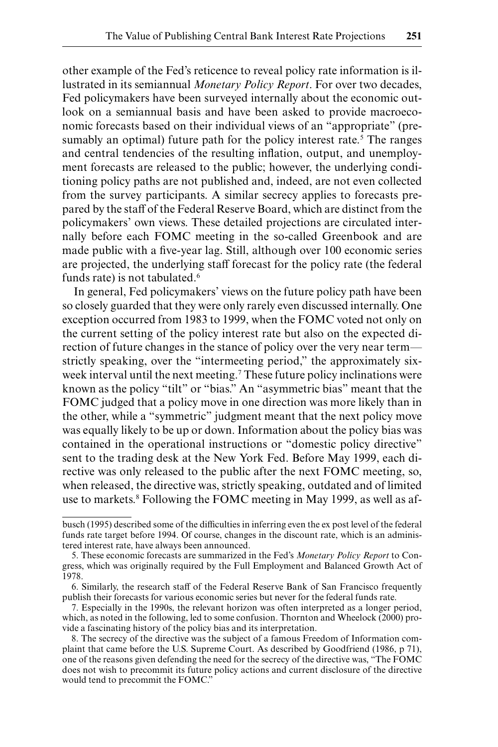other example of the Fed's reticence to reveal policy rate information is illustrated in its semiannual *Monetary Policy Report*. For over two decades, Fed policymakers have been surveyed internally about the economic outlook on a semiannual basis and have been asked to provide macroeconomic forecasts based on their individual views of an "appropriate" (presumably an optimal) future path for the policy interest rate.<sup>5</sup> The ranges and central tendencies of the resulting inflation, output, and unemployment forecasts are released to the public; however, the underlying conditioning policy paths are not published and, indeed, are not even collected from the survey participants. A similar secrecy applies to forecasts prepared by the staff of the Federal Reserve Board, which are distinct from the policymakers' own views. These detailed projections are circulated internally before each FOMC meeting in the so-called Greenbook and are made public with a five-year lag. Still, although over 100 economic series are projected, the underlying staff forecast for the policy rate (the federal funds rate) is not tabulated.<sup>6</sup>

In general, Fed policymakers' views on the future policy path have been so closely guarded that they were only rarely even discussed internally. One exception occurred from 1983 to 1999, when the FOMC voted not only on the current setting of the policy interest rate but also on the expected direction of future changes in the stance of policy over the very near term strictly speaking, over the "intermeeting period," the approximately sixweek interval until the next meeting.<sup>7</sup> These future policy inclinations were known as the policy "tilt" or "bias." An "asymmetric bias" meant that the FOMC judged that a policy move in one direction was more likely than in the other, while a "symmetric" judgment meant that the next policy move was equally likely to be up or down. Information about the policy bias was contained in the operational instructions or "domestic policy directive" sent to the trading desk at the New York Fed. Before May 1999, each directive was only released to the public after the next FOMC meeting, so, when released, the directive was, strictly speaking, outdated and of limited use to markets.<sup>8</sup> Following the FOMC meeting in May 1999, as well as af-

busch (1995) described some of the difficulties in inferring even the ex post level of the federal funds rate target before 1994. Of course, changes in the discount rate, which is an administered interest rate, have always been announced.

<sup>5.</sup> These economic forecasts are summarized in the Fed's *Monetary Policy Report* to Congress, which was originally required by the Full Employment and Balanced Growth Act of 1978.

<sup>6.</sup> Similarly, the research staff of the Federal Reserve Bank of San Francisco frequently publish their forecasts for various economic series but never for the federal funds rate.

<sup>7.</sup> Especially in the 1990s, the relevant horizon was often interpreted as a longer period, which, as noted in the following, led to some confusion. Thornton and Wheelock (2000) provide a fascinating history of the policy bias and its interpretation.

<sup>8.</sup> The secrecy of the directive was the subject of a famous Freedom of Information complaint that came before the U.S. Supreme Court. As described by Goodfriend (1986, p 71), one of the reasons given defending the need for the secrecy of the directive was, "The FOMC does not wish to precommit its future policy actions and current disclosure of the directive would tend to precommit the FOMC."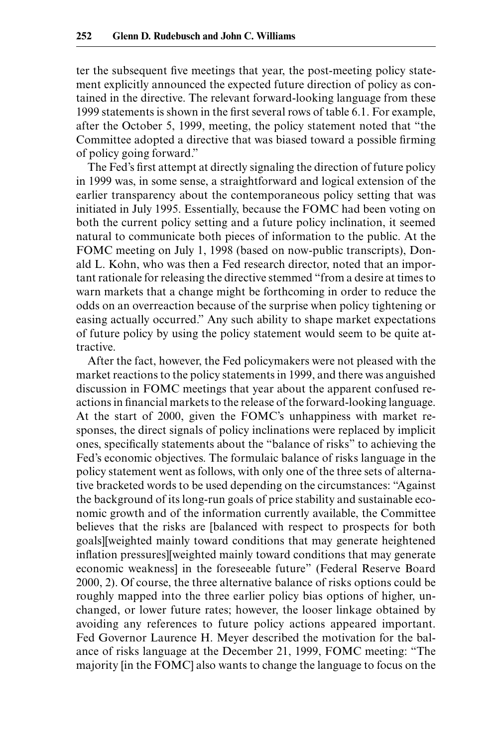ter the subsequent five meetings that year, the post-meeting policy statement explicitly announced the expected future direction of policy as contained in the directive. The relevant forward-looking language from these 1999 statements is shown in the first several rows of table 6.1. For example, after the October 5, 1999, meeting, the policy statement noted that "the Committee adopted a directive that was biased toward a possible firming of policy going forward."

The Fed's first attempt at directly signaling the direction of future policy in 1999 was, in some sense, a straightforward and logical extension of the earlier transparency about the contemporaneous policy setting that was initiated in July 1995. Essentially, because the FOMC had been voting on both the current policy setting and a future policy inclination, it seemed natural to communicate both pieces of information to the public. At the FOMC meeting on July 1, 1998 (based on now-public transcripts), Donald L. Kohn, who was then a Fed research director, noted that an important rationale for releasing the directive stemmed "from a desire at times to warn markets that a change might be forthcoming in order to reduce the odds on an overreaction because of the surprise when policy tightening or easing actually occurred." Any such ability to shape market expectations of future policy by using the policy statement would seem to be quite attractive.

After the fact, however, the Fed policymakers were not pleased with the market reactions to the policy statements in 1999, and there was anguished discussion in FOMC meetings that year about the apparent confused reactions in financial markets to the release of the forward-looking language. At the start of 2000, given the FOMC's unhappiness with market responses, the direct signals of policy inclinations were replaced by implicit ones, specifically statements about the "balance of risks" to achieving the Fed's economic objectives. The formulaic balance of risks language in the policy statement went as follows, with only one of the three sets of alternative bracketed words to be used depending on the circumstances: "Against the background of its long-run goals of price stability and sustainable economic growth and of the information currently available, the Committee believes that the risks are [balanced with respect to prospects for both goals][weighted mainly toward conditions that may generate heightened inflation pressures][weighted mainly toward conditions that may generate economic weakness] in the foreseeable future" (Federal Reserve Board 2000, 2). Of course, the three alternative balance of risks options could be roughly mapped into the three earlier policy bias options of higher, unchanged, or lower future rates; however, the looser linkage obtained by avoiding any references to future policy actions appeared important. Fed Governor Laurence H. Meyer described the motivation for the balance of risks language at the December 21, 1999, FOMC meeting: "The majority [in the FOMC] also wants to change the language to focus on the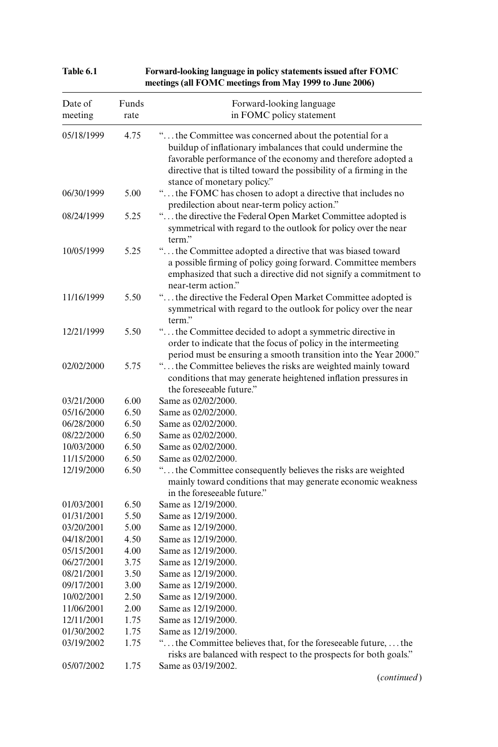| $m$ meetings (an FOIVIC meetings from 1914) 1999 to June 2000) |               |                                                                                                                                                                                                                                                                                              |  |  |  |
|----------------------------------------------------------------|---------------|----------------------------------------------------------------------------------------------------------------------------------------------------------------------------------------------------------------------------------------------------------------------------------------------|--|--|--|
| Date of<br>meeting                                             | Funds<br>rate | Forward-looking language<br>in FOMC policy statement                                                                                                                                                                                                                                         |  |  |  |
| 05/18/1999                                                     | 4.75          | " the Committee was concerned about the potential for a<br>buildup of inflationary imbalances that could undermine the<br>favorable performance of the economy and therefore adopted a<br>directive that is tilted toward the possibility of a firming in the<br>stance of monetary policy." |  |  |  |
| 06/30/1999                                                     | 5.00          | " the FOMC has chosen to adopt a directive that includes no<br>predilection about near-term policy action."                                                                                                                                                                                  |  |  |  |
| 08/24/1999                                                     | 5.25          | " the directive the Federal Open Market Committee adopted is<br>symmetrical with regard to the outlook for policy over the near<br>term."                                                                                                                                                    |  |  |  |
| 10/05/1999                                                     | 5.25          | "the Committee adopted a directive that was biased toward<br>a possible firming of policy going forward. Committee members<br>emphasized that such a directive did not signify a commitment to<br>near-term action."                                                                         |  |  |  |
| 11/16/1999                                                     | 5.50          | "the directive the Federal Open Market Committee adopted is<br>symmetrical with regard to the outlook for policy over the near<br>term."                                                                                                                                                     |  |  |  |
| 12/21/1999                                                     | 5.50          | " the Committee decided to adopt a symmetric directive in<br>order to indicate that the focus of policy in the intermeeting<br>period must be ensuring a smooth transition into the Year 2000."                                                                                              |  |  |  |
| 02/02/2000                                                     | 5.75          | "the Committee believes the risks are weighted mainly toward<br>conditions that may generate heightened inflation pressures in<br>the foreseeable future."                                                                                                                                   |  |  |  |
| 03/21/2000                                                     | 6.00          | Same as 02/02/2000.                                                                                                                                                                                                                                                                          |  |  |  |
| 05/16/2000                                                     | 6.50          | Same as 02/02/2000.                                                                                                                                                                                                                                                                          |  |  |  |
| 06/28/2000                                                     | 6.50          | Same as 02/02/2000.                                                                                                                                                                                                                                                                          |  |  |  |
| 08/22/2000                                                     | 6.50          | Same as 02/02/2000.                                                                                                                                                                                                                                                                          |  |  |  |
| 10/03/2000                                                     | 6.50          | Same as 02/02/2000.                                                                                                                                                                                                                                                                          |  |  |  |
| 11/15/2000                                                     | 6.50          | Same as 02/02/2000.                                                                                                                                                                                                                                                                          |  |  |  |
| 12/19/2000                                                     | 6.50          | "the Committee consequently believes the risks are weighted                                                                                                                                                                                                                                  |  |  |  |
|                                                                |               | mainly toward conditions that may generate economic weakness                                                                                                                                                                                                                                 |  |  |  |
|                                                                |               | in the foreseeable future."                                                                                                                                                                                                                                                                  |  |  |  |
| 01/03/2001                                                     | 6.50          | Same as 12/19/2000.                                                                                                                                                                                                                                                                          |  |  |  |
| 01/31/2001                                                     | 5.50          | Same as 12/19/2000.                                                                                                                                                                                                                                                                          |  |  |  |
| 03/20/2001                                                     | 5.00          | Same as 12/19/2000.                                                                                                                                                                                                                                                                          |  |  |  |
| 04/18/2001                                                     | 4.50          | Same as 12/19/2000.                                                                                                                                                                                                                                                                          |  |  |  |
| 05/15/2001                                                     | 4.00          | Same as 12/19/2000.                                                                                                                                                                                                                                                                          |  |  |  |
| 06/27/2001                                                     | 3.75          | Same as 12/19/2000.                                                                                                                                                                                                                                                                          |  |  |  |
| 08/21/2001                                                     | 3.50          | Same as 12/19/2000.                                                                                                                                                                                                                                                                          |  |  |  |
| 09/17/2001                                                     | 3.00          | Same as $12/19/2000$ .                                                                                                                                                                                                                                                                       |  |  |  |
| 10/02/2001                                                     | 2.50          | Same as 12/19/2000.                                                                                                                                                                                                                                                                          |  |  |  |
| 11/06/2001                                                     | 2.00          | Same as 12/19/2000.                                                                                                                                                                                                                                                                          |  |  |  |
| 12/11/2001                                                     | 1.75          | Same as 12/19/2000.                                                                                                                                                                                                                                                                          |  |  |  |
| 01/30/2002                                                     | 1.75          | Same as 12/19/2000.                                                                                                                                                                                                                                                                          |  |  |  |
| 03/19/2002                                                     | 1.75          | " the Committee believes that, for the foreseeable future,  the<br>risks are balanced with respect to the prospects for both goals."                                                                                                                                                         |  |  |  |
| 05/07/2002                                                     | 1.75          | Same as 03/19/2002.                                                                                                                                                                                                                                                                          |  |  |  |

| Table 6.1 | Forward-looking language in policy statements issued after FOMC |
|-----------|-----------------------------------------------------------------|
|           | meetings (all FOMC meetings from May 1999 to June 2006)         |

(*continued* )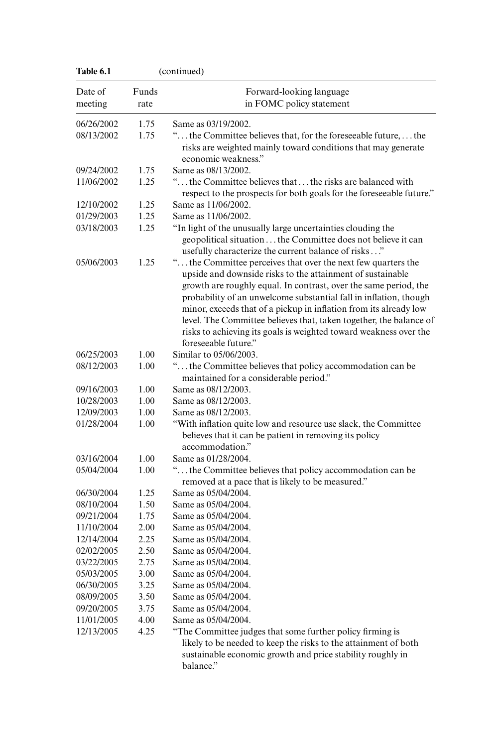| Table 6.1                | (continued) |                                                                           |
|--------------------------|-------------|---------------------------------------------------------------------------|
| Date of                  | Funds       | Forward-looking language                                                  |
| meeting                  | rate        | in FOMC policy statement                                                  |
| 06/26/2002               | 1.75        | Same as 03/19/2002.                                                       |
| 08/13/2002               | 1.75        | "the Committee believes that, for the foreseeable future,  the            |
|                          |             | risks are weighted mainly toward conditions that may generate             |
|                          |             | economic weakness."                                                       |
| 09/24/2002               | 1.75        | Same as 08/13/2002.                                                       |
| 11/06/2002               | 1.25        | " the Committee believes that  the risks are balanced with                |
|                          |             | respect to the prospects for both goals for the foreseeable future."      |
| 12/10/2002               | 1.25        | Same as 11/06/2002.                                                       |
| 01/29/2003               | 1.25        | Same as 11/06/2002.                                                       |
| 03/18/2003               | 1.25        | "In light of the unusually large uncertainties clouding the               |
|                          |             | geopolitical situation the Committee does not believe it can              |
|                          |             | usefully characterize the current balance of risks"                       |
| 05/06/2003               | 1.25        | " the Committee perceives that over the next few quarters the             |
|                          |             | upside and downside risks to the attainment of sustainable                |
|                          |             | growth are roughly equal. In contrast, over the same period, the          |
|                          |             | probability of an unwelcome substantial fall in inflation, though         |
|                          |             | minor, exceeds that of a pickup in inflation from its already low         |
|                          |             | level. The Committee believes that, taken together, the balance of        |
|                          |             | risks to achieving its goals is weighted toward weakness over the         |
|                          |             | foreseeable future."                                                      |
| 06/25/2003               | 1.00        | Similar to 05/06/2003.                                                    |
| 08/12/2003               | 1.00        | " the Committee believes that policy accommodation can be                 |
|                          |             | maintained for a considerable period."                                    |
| 09/16/2003               | 1.00        | Same as 08/12/2003.                                                       |
| 10/28/2003               | 1.00        | Same as 08/12/2003.                                                       |
| 12/09/2003               | 1.00        | Same as 08/12/2003.                                                       |
| 01/28/2004               | 1.00        | "With inflation quite low and resource use slack, the Committee           |
|                          |             | believes that it can be patient in removing its policy<br>accommodation." |
|                          | 1.00        | Same as 01/28/2004.                                                       |
| 03/16/2004<br>05/04/2004 | 1.00        | " the Committee believes that policy accommodation can be                 |
|                          |             | removed at a pace that is likely to be measured."                         |
| 06/30/2004               | 1.25        | Same as 05/04/2004.                                                       |
| 08/10/2004               | 1.50        | Same as 05/04/2004.                                                       |
| 09/21/2004               | 1.75        | Same as 05/04/2004.                                                       |
| 11/10/2004               | 2.00        | Same as 05/04/2004.                                                       |
| 12/14/2004               | 2.25        | Same as 05/04/2004.                                                       |
| 02/02/2005               | 2.50        | Same as 05/04/2004.                                                       |
| 03/22/2005               | 2.75        | Same as 05/04/2004.                                                       |
| 05/03/2005               | 3.00        | Same as 05/04/2004.                                                       |
| 06/30/2005               | 3.25        | Same as 05/04/2004.                                                       |
| 08/09/2005               | 3.50        | Same as 05/04/2004.                                                       |
| 09/20/2005               | 3.75        | Same as 05/04/2004.                                                       |
| 11/01/2005               | 4.00        | Same as 05/04/2004.                                                       |
| 12/13/2005               | 4.25        | "The Committee judges that some further policy firming is                 |
|                          |             | likely to be needed to keep the risks to the attainment of both           |
|                          |             | sustainable economic growth and price stability roughly in                |
|                          |             | balance."                                                                 |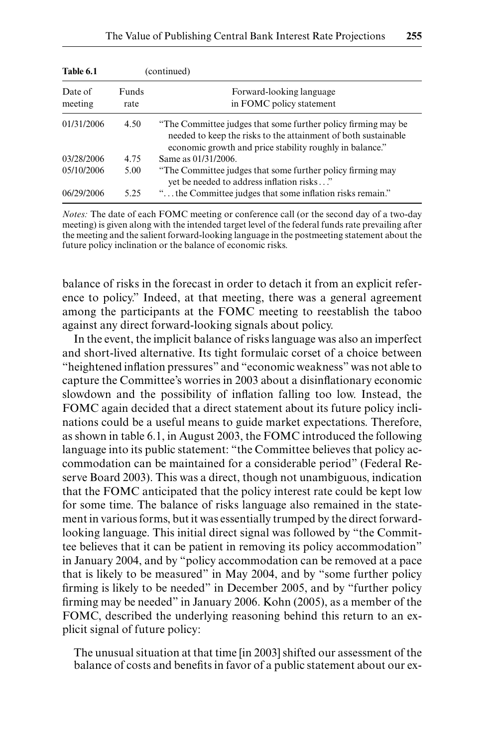| Table 6.1<br>Date of<br>meeting |               | (continued)                                                                                                                                                                                   |
|---------------------------------|---------------|-----------------------------------------------------------------------------------------------------------------------------------------------------------------------------------------------|
|                                 | Funds<br>rate | Forward-looking language<br>in FOMC policy statement                                                                                                                                          |
| 01/31/2006                      | 4.50          | "The Committee judges that some further policy firming may be."<br>needed to keep the risks to the attainment of both sustainable<br>economic growth and price stability roughly in balance." |
| 03/28/2006                      | 4.75          | Same as 01/31/2006                                                                                                                                                                            |
| 05/10/2006                      | 5.00          | "The Committee judges that some further policy firming may"<br>yet be needed to address inflation risks"                                                                                      |
| 06/29/2006                      | 525           | " the Committee judges that some inflation risks remain."                                                                                                                                     |

*Notes:* The date of each FOMC meeting or conference call (or the second day of a two-day meeting) is given along with the intended target level of the federal funds rate prevailing after the meeting and the salient forward-looking language in the postmeeting statement about the future policy inclination or the balance of economic risks.

balance of risks in the forecast in order to detach it from an explicit reference to policy." Indeed, at that meeting, there was a general agreement among the participants at the FOMC meeting to reestablish the taboo against any direct forward-looking signals about policy.

In the event, the implicit balance of risks language was also an imperfect and short-lived alternative. Its tight formulaic corset of a choice between "heightened inflation pressures" and "economic weakness" was not able to capture the Committee's worries in 2003 about a disinflationary economic slowdown and the possibility of inflation falling too low. Instead, the FOMC again decided that a direct statement about its future policy inclinations could be a useful means to guide market expectations. Therefore, as shown in table 6.1, in August 2003, the FOMC introduced the following language into its public statement: "the Committee believes that policy accommodation can be maintained for a considerable period" (Federal Reserve Board 2003). This was a direct, though not unambiguous, indication that the FOMC anticipated that the policy interest rate could be kept low for some time. The balance of risks language also remained in the statement in various forms, but it was essentially trumped by the direct forwardlooking language. This initial direct signal was followed by "the Committee believes that it can be patient in removing its policy accommodation" in January 2004, and by "policy accommodation can be removed at a pace that is likely to be measured" in May 2004, and by "some further policy firming is likely to be needed" in December 2005, and by "further policy firming may be needed" in January 2006. Kohn (2005), as a member of the FOMC, described the underlying reasoning behind this return to an explicit signal of future policy:

The unusual situation at that time [in 2003] shifted our assessment of the balance of costs and benefits in favor of a public statement about our ex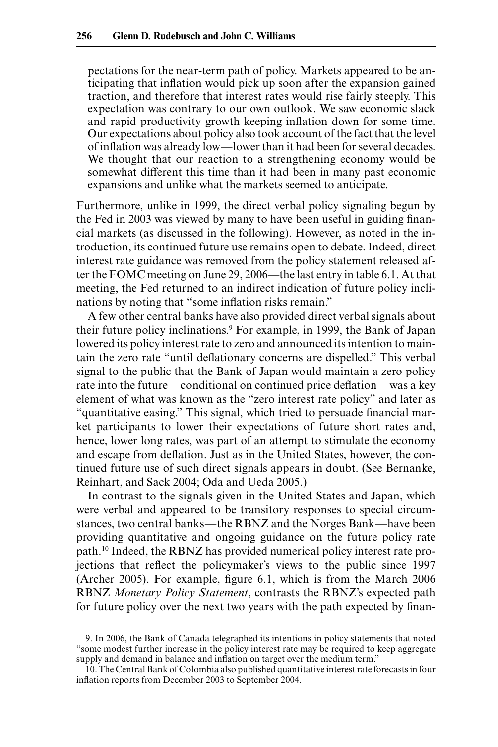pectations for the near-term path of policy. Markets appeared to be anticipating that inflation would pick up soon after the expansion gained traction, and therefore that interest rates would rise fairly steeply. This expectation was contrary to our own outlook. We saw economic slack and rapid productivity growth keeping inflation down for some time. Our expectations about policy also took account of the fact that the level of inflation was already low—lower than it had been for several decades. We thought that our reaction to a strengthening economy would be somewhat different this time than it had been in many past economic expansions and unlike what the markets seemed to anticipate.

Furthermore, unlike in 1999, the direct verbal policy signaling begun by the Fed in 2003 was viewed by many to have been useful in guiding financial markets (as discussed in the following). However, as noted in the introduction, its continued future use remains open to debate. Indeed, direct interest rate guidance was removed from the policy statement released after the FOMC meeting on June 29, 2006—the last entry in table 6.1. At that meeting, the Fed returned to an indirect indication of future policy inclinations by noting that "some inflation risks remain."

A few other central banks have also provided direct verbal signals about their future policy inclinations.9 For example, in 1999, the Bank of Japan lowered its policy interest rate to zero and announced its intention to maintain the zero rate "until deflationary concerns are dispelled." This verbal signal to the public that the Bank of Japan would maintain a zero policy rate into the future—conditional on continued price deflation—was a key element of what was known as the "zero interest rate policy" and later as "quantitative easing." This signal, which tried to persuade financial market participants to lower their expectations of future short rates and, hence, lower long rates, was part of an attempt to stimulate the economy and escape from deflation. Just as in the United States, however, the continued future use of such direct signals appears in doubt. (See Bernanke, Reinhart, and Sack 2004; Oda and Ueda 2005.)

In contrast to the signals given in the United States and Japan, which were verbal and appeared to be transitory responses to special circumstances, two central banks—the RBNZ and the Norges Bank—have been providing quantitative and ongoing guidance on the future policy rate path.10 Indeed, the RBNZ has provided numerical policy interest rate projections that reflect the policymaker's views to the public since 1997 (Archer 2005). For example, figure 6.1, which is from the March 2006 RBNZ *Monetary Policy Statement*, contrasts the RBNZ's expected path for future policy over the next two years with the path expected by finan-

<sup>9.</sup> In 2006, the Bank of Canada telegraphed its intentions in policy statements that noted "some modest further increase in the policy interest rate may be required to keep aggregate supply and demand in balance and inflation on target over the medium term."

<sup>10.</sup> The Central Bank of Colombia also published quantitative interest rate forecasts in four inflation reports from December 2003 to September 2004.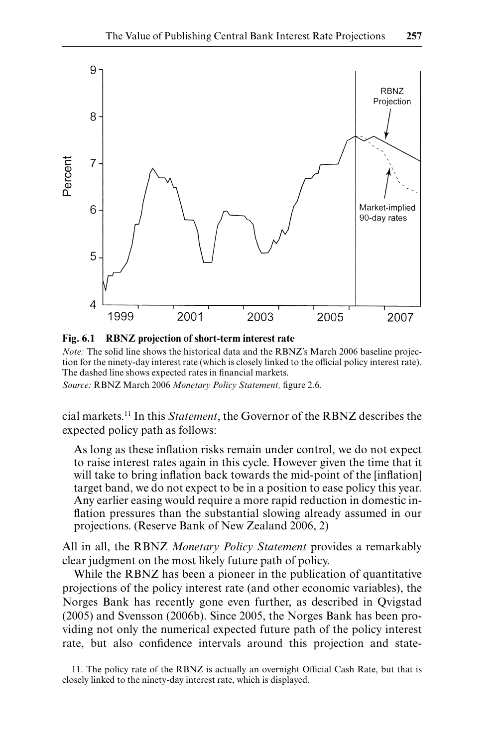

#### **Fig. 6.1 RBNZ projection of short-term interest rate**

*Note:* The solid line shows the historical data and the RBNZ's March 2006 baseline projection for the ninety-day interest rate (which is closely linked to the official policy interest rate). The dashed line shows expected rates in financial markets.

*Source:* RBNZ March 2006 *Monetary Policy Statement,* figure 2.6.

cial markets.11 In this *Statement*, the Governor of the RBNZ describes the expected policy path as follows:

As long as these inflation risks remain under control, we do not expect to raise interest rates again in this cycle. However given the time that it will take to bring inflation back towards the mid-point of the [inflation] target band, we do not expect to be in a position to ease policy this year. Any earlier easing would require a more rapid reduction in domestic inflation pressures than the substantial slowing already assumed in our projections. (Reserve Bank of New Zealand 2006, 2)

All in all, the RBNZ *Monetary Policy Statement* provides a remarkably clear judgment on the most likely future path of policy.

While the RBNZ has been a pioneer in the publication of quantitative projections of the policy interest rate (and other economic variables), the Norges Bank has recently gone even further, as described in Qvigstad (2005) and Svensson (2006b). Since 2005, the Norges Bank has been providing not only the numerical expected future path of the policy interest rate, but also confidence intervals around this projection and state-

<sup>11.</sup> The policy rate of the RBNZ is actually an overnight Official Cash Rate, but that is closely linked to the ninety-day interest rate, which is displayed.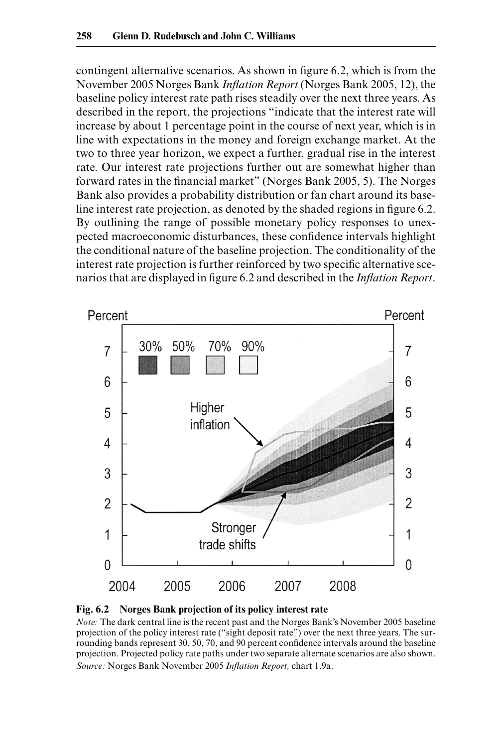contingent alternative scenarios. As shown in figure 6.2, which is from the November 2005 Norges Bank *Inflation Report* (Norges Bank 2005, 12), the baseline policy interest rate path rises steadily over the next three years. As described in the report, the projections "indicate that the interest rate will increase by about 1 percentage point in the course of next year, which is in line with expectations in the money and foreign exchange market. At the two to three year horizon, we expect a further, gradual rise in the interest rate. Our interest rate projections further out are somewhat higher than forward rates in the financial market" (Norges Bank 2005, 5). The Norges Bank also provides a probability distribution or fan chart around its baseline interest rate projection, as denoted by the shaded regions in figure 6.2. By outlining the range of possible monetary policy responses to unexpected macroeconomic disturbances, these confidence intervals highlight the conditional nature of the baseline projection. The conditionality of the interest rate projection is further reinforced by two specific alternative scenarios that are displayed in figure 6.2 and described in the *Inflation Report*.





*Note:* The dark central line is the recent past and the Norges Bank's November 2005 baseline projection of the policy interest rate ("sight deposit rate") over the next three years. The surrounding bands represent 30, 50, 70, and 90 percent confidence intervals around the baseline projection. Projected policy rate paths under two separate alternate scenarios are also shown. *Source:* Norges Bank November 2005 *Inflation Report,* chart 1.9a.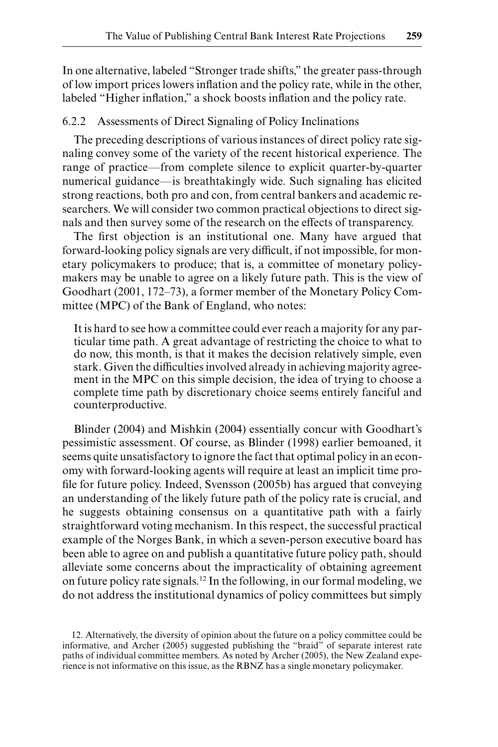In one alternative, labeled "Stronger trade shifts," the greater pass-through of low import prices lowers inflation and the policy rate, while in the other, labeled "Higher inflation," a shock boosts inflation and the policy rate.

#### 6.2.2 Assessments of Direct Signaling of Policy Inclinations

The preceding descriptions of various instances of direct policy rate signaling convey some of the variety of the recent historical experience. The range of practice—from complete silence to explicit quarter-by-quarter numerical guidance—is breathtakingly wide. Such signaling has elicited strong reactions, both pro and con, from central bankers and academic researchers. We will consider two common practical objections to direct signals and then survey some of the research on the effects of transparency.

The first objection is an institutional one. Many have argued that forward-looking policy signals are very difficult, if not impossible, for monetary policymakers to produce; that is, a committee of monetary policymakers may be unable to agree on a likely future path. This is the view of Goodhart (2001, 172–73), a former member of the Monetary Policy Committee (MPC) of the Bank of England, who notes:

It is hard to see how a committee could ever reach a majority for any particular time path. A great advantage of restricting the choice to what to do now, this month, is that it makes the decision relatively simple, even stark. Given the difficulties involved already in achieving majority agreement in the MPC on this simple decision, the idea of trying to choose a complete time path by discretionary choice seems entirely fanciful and counterproductive.

Blinder (2004) and Mishkin (2004) essentially concur with Goodhart's pessimistic assessment. Of course, as Blinder (1998) earlier bemoaned, it seems quite unsatisfactory to ignore the fact that optimal policy in an economy with forward-looking agents will require at least an implicit time profile for future policy. Indeed, Svensson (2005b) has argued that conveying an understanding of the likely future path of the policy rate is crucial, and he suggests obtaining consensus on a quantitative path with a fairly straightforward voting mechanism. In this respect, the successful practical example of the Norges Bank, in which a seven-person executive board has been able to agree on and publish a quantitative future policy path, should alleviate some concerns about the impracticality of obtaining agreement on future policy rate signals.12 In the following, in our formal modeling, we do not address the institutional dynamics of policy committees but simply

<sup>12.</sup> Alternatively, the diversity of opinion about the future on a policy committee could be informative, and Archer (2005) suggested publishing the "braid" of separate interest rate paths of individual committee members. As noted by Archer (2005), the New Zealand experience is not informative on this issue, as the RBNZ has a single monetary policymaker.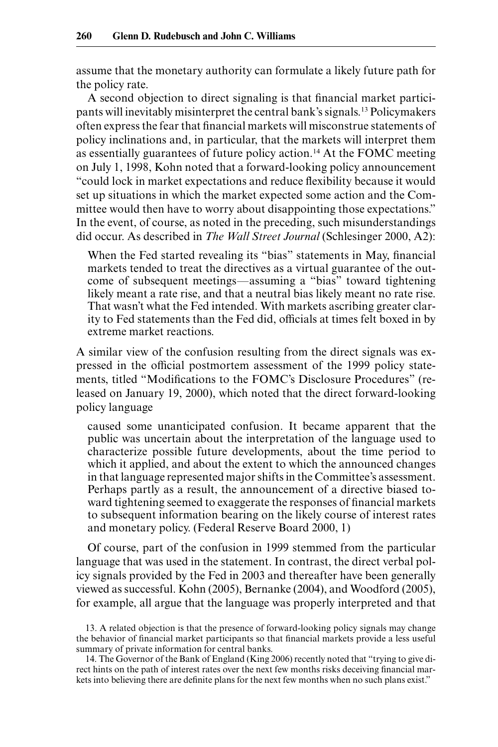assume that the monetary authority can formulate a likely future path for the policy rate.

A second objection to direct signaling is that financial market participants will inevitably misinterpret the central bank's signals.13 Policymakers often express the fear that financial markets will misconstrue statements of policy inclinations and, in particular, that the markets will interpret them as essentially guarantees of future policy action.14 At the FOMC meeting on July 1, 1998, Kohn noted that a forward-looking policy announcement "could lock in market expectations and reduce flexibility because it would set up situations in which the market expected some action and the Committee would then have to worry about disappointing those expectations." In the event, of course, as noted in the preceding, such misunderstandings did occur. As described in *The Wall Street Journal* (Schlesinger 2000, A2):

When the Fed started revealing its "bias" statements in May, financial markets tended to treat the directives as a virtual guarantee of the outcome of subsequent meetings—assuming a "bias" toward tightening likely meant a rate rise, and that a neutral bias likely meant no rate rise. That wasn't what the Fed intended. With markets ascribing greater clarity to Fed statements than the Fed did, officials at times felt boxed in by extreme market reactions.

A similar view of the confusion resulting from the direct signals was expressed in the official postmortem assessment of the 1999 policy statements, titled "Modifications to the FOMC's Disclosure Procedures" (released on January 19, 2000), which noted that the direct forward-looking policy language

caused some unanticipated confusion. It became apparent that the public was uncertain about the interpretation of the language used to characterize possible future developments, about the time period to which it applied, and about the extent to which the announced changes in that language represented major shifts in the Committee's assessment. Perhaps partly as a result, the announcement of a directive biased toward tightening seemed to exaggerate the responses of financial markets to subsequent information bearing on the likely course of interest rates and monetary policy. (Federal Reserve Board 2000, 1)

Of course, part of the confusion in 1999 stemmed from the particular language that was used in the statement. In contrast, the direct verbal policy signals provided by the Fed in 2003 and thereafter have been generally viewed as successful. Kohn (2005), Bernanke (2004), and Woodford (2005), for example, all argue that the language was properly interpreted and that

14. The Governor of the Bank of England (King 2006) recently noted that "trying to give direct hints on the path of interest rates over the next few months risks deceiving financial markets into believing there are definite plans for the next few months when no such plans exist."

<sup>13.</sup> A related objection is that the presence of forward-looking policy signals may change the behavior of financial market participants so that financial markets provide a less useful summary of private information for central banks.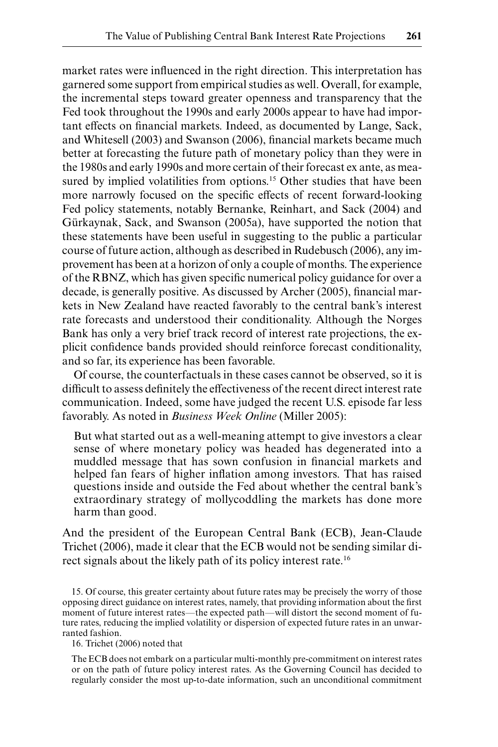market rates were influenced in the right direction. This interpretation has garnered some support from empirical studies as well. Overall, for example, the incremental steps toward greater openness and transparency that the Fed took throughout the 1990s and early 2000s appear to have had important effects on financial markets. Indeed, as documented by Lange, Sack, and Whitesell (2003) and Swanson (2006), financial markets became much better at forecasting the future path of monetary policy than they were in the 1980s and early 1990s and more certain of their forecast ex ante, as measured by implied volatilities from options.<sup>15</sup> Other studies that have been more narrowly focused on the specific effects of recent forward-looking Fed policy statements, notably Bernanke, Reinhart, and Sack (2004) and Gürkaynak, Sack, and Swanson (2005a), have supported the notion that these statements have been useful in suggesting to the public a particular course of future action, although as described in Rudebusch (2006), any improvement has been at a horizon of only a couple of months. The experience of the RBNZ, which has given specific numerical policy guidance for over a decade, is generally positive. As discussed by Archer (2005), financial markets in New Zealand have reacted favorably to the central bank's interest rate forecasts and understood their conditionality. Although the Norges Bank has only a very brief track record of interest rate projections, the explicit confidence bands provided should reinforce forecast conditionality, and so far, its experience has been favorable.

Of course, the counterfactuals in these cases cannot be observed, so it is difficult to assess definitely the effectiveness of the recent direct interest rate communication. Indeed, some have judged the recent U.S. episode far less favorably. As noted in *Business Week Online* (Miller 2005):

But what started out as a well-meaning attempt to give investors a clear sense of where monetary policy was headed has degenerated into a muddled message that has sown confusion in financial markets and helped fan fears of higher inflation among investors. That has raised questions inside and outside the Fed about whether the central bank's extraordinary strategy of mollycoddling the markets has done more harm than good.

And the president of the European Central Bank (ECB), Jean-Claude Trichet (2006), made it clear that the ECB would not be sending similar direct signals about the likely path of its policy interest rate.16

15. Of course, this greater certainty about future rates may be precisely the worry of those opposing direct guidance on interest rates, namely, that providing information about the first moment of future interest rates—the expected path—will distort the second moment of future rates, reducing the implied volatility or dispersion of expected future rates in an unwarranted fashion.

16. Trichet (2006) noted that

The ECB does not embark on a particular multi-monthly pre-commitment on interest rates or on the path of future policy interest rates. As the Governing Council has decided to regularly consider the most up-to-date information, such an unconditional commitment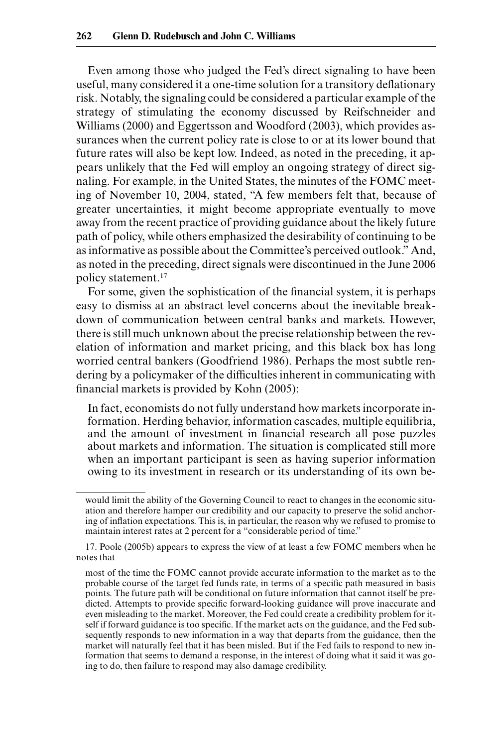Even among those who judged the Fed's direct signaling to have been useful, many considered it a one-time solution for a transitory deflationary risk. Notably, the signaling could be considered a particular example of the strategy of stimulating the economy discussed by Reifschneider and Williams (2000) and Eggertsson and Woodford (2003), which provides assurances when the current policy rate is close to or at its lower bound that future rates will also be kept low. Indeed, as noted in the preceding, it appears unlikely that the Fed will employ an ongoing strategy of direct signaling. For example, in the United States, the minutes of the FOMC meeting of November 10, 2004, stated, "A few members felt that, because of greater uncertainties, it might become appropriate eventually to move away from the recent practice of providing guidance about the likely future path of policy, while others emphasized the desirability of continuing to be as informative as possible about the Committee's perceived outlook." And, as noted in the preceding, direct signals were discontinued in the June 2006 policy statement.17

For some, given the sophistication of the financial system, it is perhaps easy to dismiss at an abstract level concerns about the inevitable breakdown of communication between central banks and markets. However, there is still much unknown about the precise relationship between the revelation of information and market pricing, and this black box has long worried central bankers (Goodfriend 1986). Perhaps the most subtle rendering by a policymaker of the difficulties inherent in communicating with financial markets is provided by Kohn (2005):

In fact, economists do not fully understand how markets incorporate information. Herding behavior, information cascades, multiple equilibria, and the amount of investment in financial research all pose puzzles about markets and information. The situation is complicated still more when an important participant is seen as having superior information owing to its investment in research or its understanding of its own be-

would limit the ability of the Governing Council to react to changes in the economic situation and therefore hamper our credibility and our capacity to preserve the solid anchoring of inflation expectations. This is, in particular, the reason why we refused to promise to maintain interest rates at 2 percent for a "considerable period of time."

<sup>17.</sup> Poole (2005b) appears to express the view of at least a few FOMC members when he notes that

most of the time the FOMC cannot provide accurate information to the market as to the probable course of the target fed funds rate, in terms of a specific path measured in basis points. The future path will be conditional on future information that cannot itself be predicted. Attempts to provide specific forward-looking guidance will prove inaccurate and even misleading to the market. Moreover, the Fed could create a credibility problem for itself if forward guidance is too specific. If the market acts on the guidance, and the Fed subsequently responds to new information in a way that departs from the guidance, then the market will naturally feel that it has been misled. But if the Fed fails to respond to new information that seems to demand a response, in the interest of doing what it said it was going to do, then failure to respond may also damage credibility.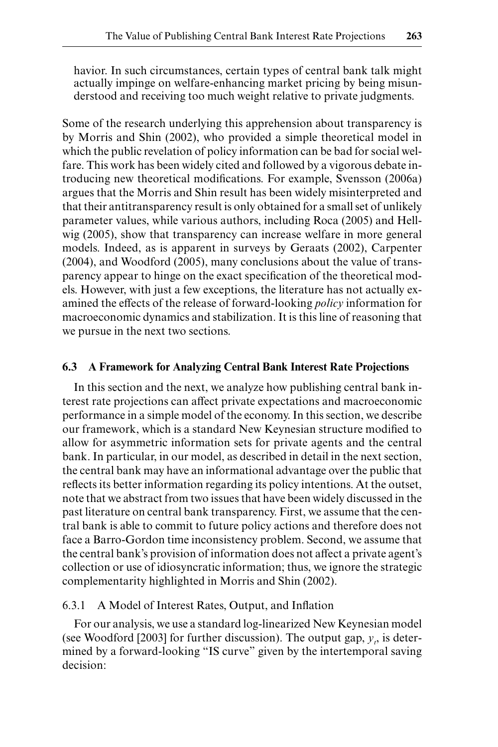havior. In such circumstances, certain types of central bank talk might actually impinge on welfare-enhancing market pricing by being misunderstood and receiving too much weight relative to private judgments.

Some of the research underlying this apprehension about transparency is by Morris and Shin (2002), who provided a simple theoretical model in which the public revelation of policy information can be bad for social welfare. This work has been widely cited and followed by a vigorous debate introducing new theoretical modifications. For example, Svensson (2006a) argues that the Morris and Shin result has been widely misinterpreted and that their antitransparency result is only obtained for a small set of unlikely parameter values, while various authors, including Roca (2005) and Hellwig (2005), show that transparency can increase welfare in more general models. Indeed, as is apparent in surveys by Geraats (2002), Carpenter (2004), and Woodford (2005), many conclusions about the value of transparency appear to hinge on the exact specification of the theoretical models. However, with just a few exceptions, the literature has not actually examined the effects of the release of forward-looking *policy* information for macroeconomic dynamics and stabilization. It is this line of reasoning that we pursue in the next two sections.

## **6.3 A Framework for Analyzing Central Bank Interest Rate Projections**

In this section and the next, we analyze how publishing central bank interest rate projections can affect private expectations and macroeconomic performance in a simple model of the economy. In this section, we describe our framework, which is a standard New Keynesian structure modified to allow for asymmetric information sets for private agents and the central bank. In particular, in our model, as described in detail in the next section, the central bank may have an informational advantage over the public that reflects its better information regarding its policy intentions. At the outset, note that we abstract from two issues that have been widely discussed in the past literature on central bank transparency. First, we assume that the central bank is able to commit to future policy actions and therefore does not face a Barro-Gordon time inconsistency problem. Second, we assume that the central bank's provision of information does not affect a private agent's collection or use of idiosyncratic information; thus, we ignore the strategic complementarity highlighted in Morris and Shin (2002).

## 6.3.1 A Model of Interest Rates, Output, and Inflation

For our analysis, we use a standard log-linearized New Keynesian model (see Woodford [2003] for further discussion). The output gap,  $y_t$ , is determined by a forward-looking "IS curve" given by the intertemporal saving decision: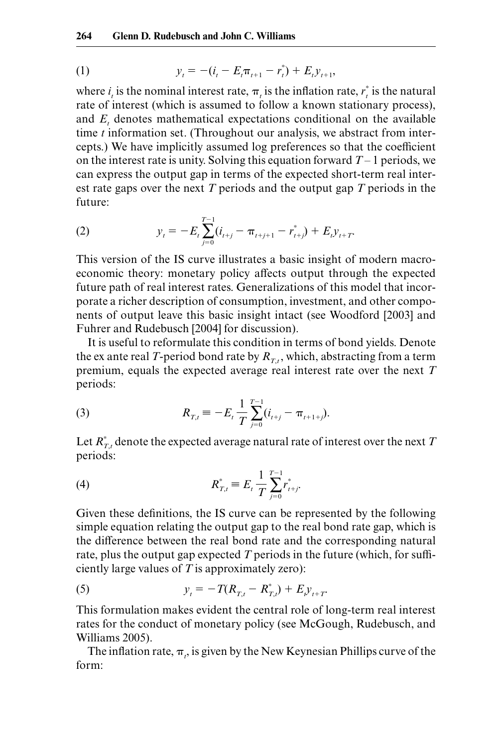(1) 
$$
y_t = -(i_t - E_t \pi_{t+1} - r_t^*) + E_t y_{t+1},
$$

where  $i_t$  is the nominal interest rate,  $\pi_t$  is the inflation rate,  $r_t^*$  is the natural rate of interest (which is assumed to follow a known stationary process), and  $E_t$ , denotes mathematical expectations conditional on the available time *t* information set. (Throughout our analysis, we abstract from intercepts.) We have implicitly assumed log preferences so that the coefficient on the interest rate is unity. Solving this equation forward  $T-1$  periods, we can express the output gap in terms of the expected short-term real interest rate gaps over the next *T* periods and the output gap *T* periods in the future:

(2) 
$$
y_{t} = -E_{t} \sum_{j=0}^{T-1} (i_{t+j} - \pi_{t+j+1} - r_{t+j}^{*}) + E_{t} y_{t+T}.
$$

This version of the IS curve illustrates a basic insight of modern macroeconomic theory: monetary policy affects output through the expected future path of real interest rates. Generalizations of this model that incorporate a richer description of consumption, investment, and other components of output leave this basic insight intact (see Woodford [2003] and Fuhrer and Rudebusch [2004] for discussion).

It is useful to reformulate this condition in terms of bond yields. Denote the ex ante real *T*-period bond rate by  $R_{T}$ , which, abstracting from a term premium, equals the expected average real interest rate over the next *T* periods:

(3) 
$$
R_{T,t} \equiv -E_t \frac{1}{T} \sum_{j=0}^{T-1} (i_{t+j} - \pi_{t+1+j}).
$$

Let  $R_{T,t}^*$  denote the expected average natural rate of interest over the next  $T$ periods:

(4) 
$$
R_{T,t}^* \equiv E_t \frac{1}{T} \sum_{j=0}^{T-1} r_{t+j}^*.
$$

Given these definitions, the IS curve can be represented by the following simple equation relating the output gap to the real bond rate gap, which is the difference between the real bond rate and the corresponding natural rate, plus the output gap expected *T* periods in the future (which, for sufficiently large values of *T* is approximately zero):

(5) 
$$
y_t = -T(R_{T,t} - R_{T,t}^*) + E_y y_{t+T}.
$$

This formulation makes evident the central role of long-term real interest rates for the conduct of monetary policy (see McGough, Rudebusch, and Williams 2005).

The inflation rate,  $\pi$ , is given by the New Keynesian Phillips curve of the form: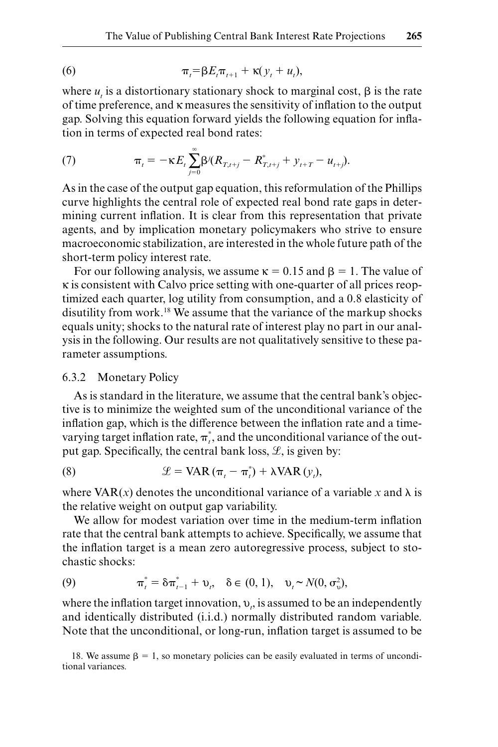(6) 
$$
\pi_t = \beta E_t \pi_{t+1} + \kappa (y_t + u_t),
$$

where  $u_t$  is a distortionary stationary shock to marginal cost,  $\beta$  is the rate of time preference, and κ measures the sensitivity of inflation to the output gap. Solving this equation forward yields the following equation for inflation in terms of expected real bond rates:

(7) 
$$
\pi_t = -\kappa E_t \sum_{j=0}^{\infty} \beta^j (R_{T,t+j} - R_{T,t+j}^* + y_{t+T} - u_{t+j}).
$$

As in the case of the output gap equation, this reformulation of the Phillips curve highlights the central role of expected real bond rate gaps in determining current inflation. It is clear from this representation that private agents, and by implication monetary policymakers who strive to ensure macroeconomic stabilization, are interested in the whole future path of the short-term policy interest rate.

For our following analysis, we assume  $\kappa = 0.15$  and  $\beta = 1$ . The value of κ is consistent with Calvo price setting with one-quarter of all prices reoptimized each quarter, log utility from consumption, and a 0.8 elasticity of disutility from work.18 We assume that the variance of the markup shocks equals unity; shocks to the natural rate of interest play no part in our analysis in the following. Our results are not qualitatively sensitive to these parameter assumptions.

#### 6.3.2 Monetary Policy

As is standard in the literature, we assume that the central bank's objective is to minimize the weighted sum of the unconditional variance of the inflation gap, which is the difference between the inflation rate and a timevarying target inflation rate,  $\pi^*_{t}$ , and the unconditional variance of the output gap. Specifically, the central bank loss,  $\mathcal{L}$ , is given by:

(8) 
$$
\mathcal{L} = \text{VAR}(\pi_t - \pi_t^*) + \lambda \text{VAR}(y_t),
$$

where VAR(*x*) denotes the unconditional variance of a variable *x* and  $\lambda$  is the relative weight on output gap variability.

We allow for modest variation over time in the medium-term inflation rate that the central bank attempts to achieve. Specifically, we assume that the inflation target is a mean zero autoregressive process, subject to stochastic shocks:

(9) 
$$
\pi_t^* = \delta \pi_{t-1}^* + \nu_t, \quad \delta \in (0, 1), \quad \nu_t \sim N(0, \sigma_v^2),
$$

where the inflation target innovation,  $v_t$ , is assumed to be an independently and identically distributed (i.i.d.) normally distributed random variable. Note that the unconditional, or long-run, inflation target is assumed to be

18. We assume  $\beta = 1$ , so monetary policies can be easily evaluated in terms of unconditional variances.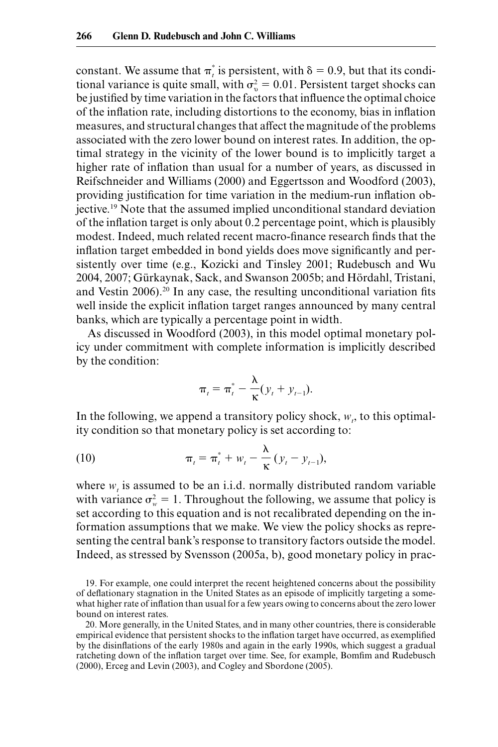constant. We assume that  $\pi^*$  is persistent, with  $\delta = 0.9$ , but that its conditional variance is quite small, with  $\sigma_v^2 = 0.01$ . Persistent target shocks can be justified by time variation in the factors that influence the optimal choice of the inflation rate, including distortions to the economy, bias in inflation measures, and structural changes that affect the magnitude of the problems associated with the zero lower bound on interest rates. In addition, the optimal strategy in the vicinity of the lower bound is to implicitly target a higher rate of inflation than usual for a number of years, as discussed in Reifschneider and Williams (2000) and Eggertsson and Woodford (2003), providing justification for time variation in the medium-run inflation objective.19 Note that the assumed implied unconditional standard deviation of the inflation target is only about 0.2 percentage point, which is plausibly modest. Indeed, much related recent macro-finance research finds that the inflation target embedded in bond yields does move significantly and persistently over time (e.g., Kozicki and Tinsley 2001; Rudebusch and Wu 2004, 2007; Gürkaynak, Sack, and Swanson 2005b; and Hördahl, Tristani, and Vestin 2006).20 In any case, the resulting unconditional variation fits well inside the explicit inflation target ranges announced by many central banks, which are typically a percentage point in width.

As discussed in Woodford (2003), in this model optimal monetary policy under commitment with complete information is implicitly described by the condition:

$$
\pi_t = \pi_t^* - \frac{\lambda}{\kappa} (y_t + y_{t-1}).
$$

In the following, we append a transitory policy shock,  $w_t$ , to this optimality condition so that monetary policy is set according to:

(10) 
$$
\pi_t = \pi_t^* + w_t - \frac{\lambda}{\kappa} (y_t - y_{t-1}),
$$

where  $w<sub>i</sub>$  is assumed to be an i.i.d. normally distributed random variable with variance  $\sigma_w^2 = 1$ . Throughout the following, we assume that policy is set according to this equation and is not recalibrated depending on the information assumptions that we make. We view the policy shocks as representing the central bank's response to transitory factors outside the model. Indeed, as stressed by Svensson (2005a, b), good monetary policy in prac-

<sup>19.</sup> For example, one could interpret the recent heightened concerns about the possibility of deflationary stagnation in the United States as an episode of implicitly targeting a somewhat higher rate of inflation than usual for a few years owing to concerns about the zero lower bound on interest rates.

<sup>20.</sup> More generally, in the United States, and in many other countries, there is considerable empirical evidence that persistent shocks to the inflation target have occurred, as exemplified by the disinflations of the early 1980s and again in the early 1990s, which suggest a gradual ratcheting down of the inflation target over time. See, for example, Bomfim and Rudebusch (2000), Erceg and Levin (2003), and Cogley and Sbordone (2005).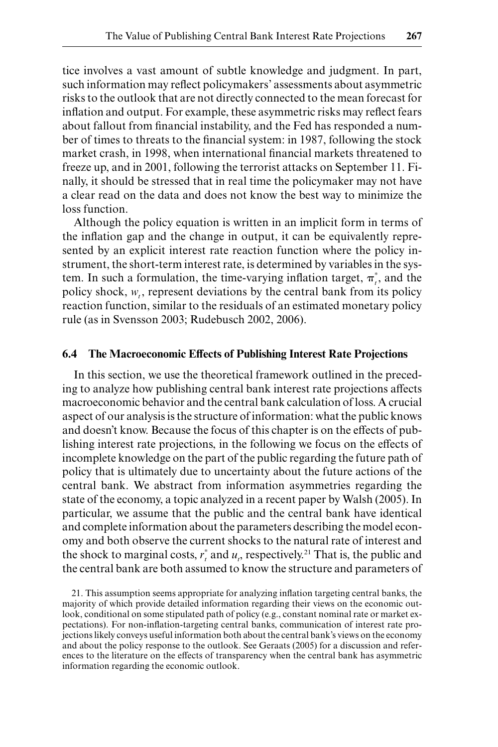tice involves a vast amount of subtle knowledge and judgment. In part, such information may reflect policymakers' assessments about asymmetric risks to the outlook that are not directly connected to the mean forecast for inflation and output. For example, these asymmetric risks may reflect fears about fallout from financial instability, and the Fed has responded a number of times to threats to the financial system: in 1987, following the stock market crash, in 1998, when international financial markets threatened to freeze up, and in 2001, following the terrorist attacks on September 11. Finally, it should be stressed that in real time the policymaker may not have a clear read on the data and does not know the best way to minimize the loss function.

Although the policy equation is written in an implicit form in terms of the inflation gap and the change in output, it can be equivalently represented by an explicit interest rate reaction function where the policy instrument, the short-term interest rate, is determined by variables in the system. In such a formulation, the time-varying inflation target,  $\pi^*$ , and the policy shock, *w*, represent deviations by the central bank from its policy reaction function, similar to the residuals of an estimated monetary policy rule (as in Svensson 2003; Rudebusch 2002, 2006).

#### **6.4 The Macroeconomic Effects of Publishing Interest Rate Projections**

In this section, we use the theoretical framework outlined in the preceding to analyze how publishing central bank interest rate projections affects macroeconomic behavior and the central bank calculation of loss. A crucial aspect of our analysis is the structure of information: what the public knows and doesn't know. Because the focus of this chapter is on the effects of publishing interest rate projections, in the following we focus on the effects of incomplete knowledge on the part of the public regarding the future path of policy that is ultimately due to uncertainty about the future actions of the central bank. We abstract from information asymmetries regarding the state of the economy, a topic analyzed in a recent paper by Walsh (2005). In particular, we assume that the public and the central bank have identical and complete information about the parameters describing the model economy and both observe the current shocks to the natural rate of interest and the shock to marginal costs,  $r_t^*$  and  $u_t$ , respectively.<sup>21</sup> That is, the public and the central bank are both assumed to know the structure and parameters of

<sup>21.</sup> This assumption seems appropriate for analyzing inflation targeting central banks, the majority of which provide detailed information regarding their views on the economic outlook, conditional on some stipulated path of policy (e.g., constant nominal rate or market expectations). For non-inflation-targeting central banks, communication of interest rate projections likely conveys useful information both about the central bank's views on the economy and about the policy response to the outlook. See Geraats (2005) for a discussion and references to the literature on the effects of transparency when the central bank has asymmetric information regarding the economic outlook.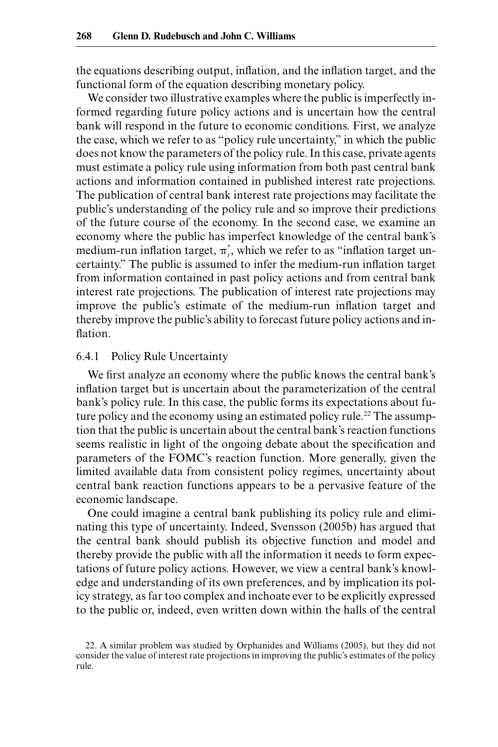the equations describing output, inflation, and the inflation target, and the functional form of the equation describing monetary policy.

We consider two illustrative examples where the public is imperfectly informed regarding future policy actions and is uncertain how the central bank will respond in the future to economic conditions. First, we analyze the case, which we refer to as "policy rule uncertainty," in which the public does not know the parameters of the policy rule. In this case, private agents must estimate a policy rule using information from both past central bank actions and information contained in published interest rate projections. The publication of central bank interest rate projections may facilitate the public's understanding of the policy rule and so improve their predictions of the future course of the economy. In the second case, we examine an economy where the public has imperfect knowledge of the central bank's medium-run inflation target,  $\pi^*$ , which we refer to as "inflation target uncertainty." The public is assumed to infer the medium-run inflation target from information contained in past policy actions and from central bank interest rate projections. The publication of interest rate projections may improve the public's estimate of the medium-run inflation target and thereby improve the public's ability to forecast future policy actions and inflation.

#### 6.4.1 Policy Rule Uncertainty

We first analyze an economy where the public knows the central bank's inflation target but is uncertain about the parameterization of the central bank's policy rule. In this case, the public forms its expectations about future policy and the economy using an estimated policy rule.<sup>22</sup> The assumption that the public is uncertain about the central bank's reaction functions seems realistic in light of the ongoing debate about the specification and parameters of the FOMC's reaction function. More generally, given the limited available data from consistent policy regimes, uncertainty about central bank reaction functions appears to be a pervasive feature of the economic landscape.

One could imagine a central bank publishing its policy rule and eliminating this type of uncertainty. Indeed, Svensson (2005b) has argued that the central bank should publish its objective function and model and thereby provide the public with all the information it needs to form expectations of future policy actions. However, we view a central bank's knowledge and understanding of its own preferences, and by implication its policy strategy, as far too complex and inchoate ever to be explicitly expressed to the public or, indeed, even written down within the halls of the central

<sup>22.</sup> A similar problem was studied by Orphanides and Williams (2005), but they did not consider the value of interest rate projections in improving the public's estimates of the policy rule.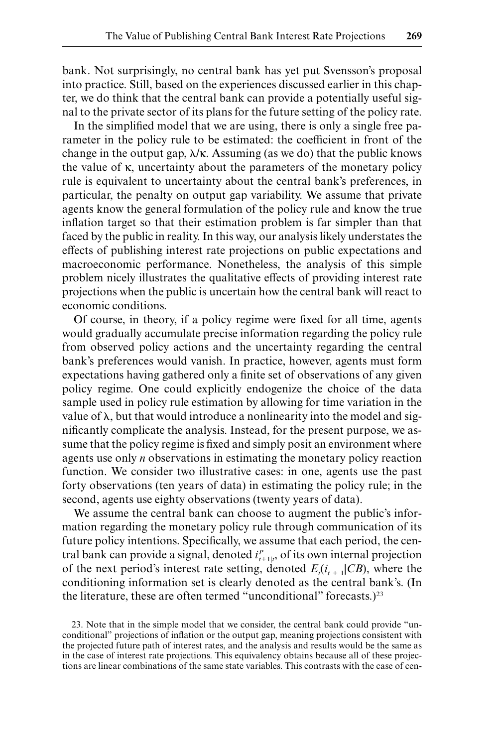bank. Not surprisingly, no central bank has yet put Svensson's proposal into practice. Still, based on the experiences discussed earlier in this chapter, we do think that the central bank can provide a potentially useful signal to the private sector of its plans for the future setting of the policy rate.

In the simplified model that we are using, there is only a single free parameter in the policy rule to be estimated: the coefficient in front of the change in the output gap,  $\lambda/\kappa$ . Assuming (as we do) that the public knows the value of  $\kappa$ , uncertainty about the parameters of the monetary policy rule is equivalent to uncertainty about the central bank's preferences, in particular, the penalty on output gap variability. We assume that private agents know the general formulation of the policy rule and know the true inflation target so that their estimation problem is far simpler than that faced by the public in reality. In this way, our analysis likely understates the effects of publishing interest rate projections on public expectations and macroeconomic performance. Nonetheless, the analysis of this simple problem nicely illustrates the qualitative effects of providing interest rate projections when the public is uncertain how the central bank will react to economic conditions.

Of course, in theory, if a policy regime were fixed for all time, agents would gradually accumulate precise information regarding the policy rule from observed policy actions and the uncertainty regarding the central bank's preferences would vanish. In practice, however, agents must form expectations having gathered only a finite set of observations of any given policy regime. One could explicitly endogenize the choice of the data sample used in policy rule estimation by allowing for time variation in the value of  $\lambda$ , but that would introduce a nonlinearity into the model and significantly complicate the analysis. Instead, for the present purpose, we assume that the policy regime is fixed and simply posit an environment where agents use only *n* observations in estimating the monetary policy reaction function. We consider two illustrative cases: in one, agents use the past forty observations (ten years of data) in estimating the policy rule; in the second, agents use eighty observations (twenty years of data).

We assume the central bank can choose to augment the public's information regarding the monetary policy rule through communication of its future policy intentions. Specifically, we assume that each period, the central bank can provide a signal, denoted  $i_{t+1|t}^p$ , of its own internal projection of the next period's interest rate setting, denoted  $E_t$   $(i_{t+1} | CB)$ , where the conditioning information set is clearly denoted as the central bank's. (In the literature, these are often termed "unconditional" forecasts.)<sup>23</sup>

<sup>23.</sup> Note that in the simple model that we consider, the central bank could provide "unconditional" projections of inflation or the output gap, meaning projections consistent with the projected future path of interest rates, and the analysis and results would be the same as in the case of interest rate projections. This equivalency obtains because all of these projections are linear combinations of the same state variables. This contrasts with the case of cen-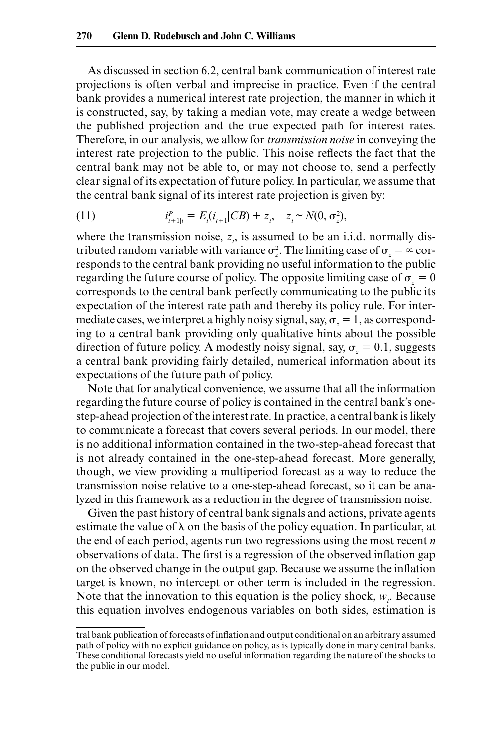As discussed in section 6.2, central bank communication of interest rate projections is often verbal and imprecise in practice. Even if the central bank provides a numerical interest rate projection, the manner in which it is constructed, say, by taking a median vote, may create a wedge between the published projection and the true expected path for interest rates. Therefore, in our analysis, we allow for *transmission noise* in conveying the interest rate projection to the public. This noise reflects the fact that the central bank may not be able to, or may not choose to, send a perfectly clear signal of its expectation of future policy. In particular, we assume that the central bank signal of its interest rate projection is given by:

(11) 
$$
i_{t+1|t}^P = E_t(i_{t+1}|CB) + z_t, \quad z_t \sim N(0, \sigma_z^2),
$$

where the transmission noise,  $z_i$ , is assumed to be an i.i.d. normally distributed random variable with variance  $\sigma_z^2$ . The limiting case of  $\sigma_z = \infty$  corresponds to the central bank providing no useful information to the public regarding the future course of policy. The opposite limiting case of  $\sigma_z = 0$ corresponds to the central bank perfectly communicating to the public its expectation of the interest rate path and thereby its policy rule. For intermediate cases, we interpret a highly noisy signal, say,  $\sigma_z = 1$ , as corresponding to a central bank providing only qualitative hints about the possible direction of future policy. A modestly noisy signal, say,  $\sigma_z = 0.1$ , suggests a central bank providing fairly detailed, numerical information about its expectations of the future path of policy.

Note that for analytical convenience, we assume that all the information regarding the future course of policy is contained in the central bank's onestep-ahead projection of the interest rate. In practice, a central bank is likely to communicate a forecast that covers several periods. In our model, there is no additional information contained in the two-step-ahead forecast that is not already contained in the one-step-ahead forecast. More generally, though, we view providing a multiperiod forecast as a way to reduce the transmission noise relative to a one-step-ahead forecast, so it can be analyzed in this framework as a reduction in the degree of transmission noise.

Given the past history of central bank signals and actions, private agents estimate the value of  $\lambda$  on the basis of the policy equation. In particular, at the end of each period, agents run two regressions using the most recent *n* observations of data. The first is a regression of the observed inflation gap on the observed change in the output gap. Because we assume the inflation target is known, no intercept or other term is included in the regression. Note that the innovation to this equation is the policy shock,  $w_t$ . Because this equation involves endogenous variables on both sides, estimation is

tral bank publication of forecasts of inflation and output conditional on an arbitrary assumed path of policy with no explicit guidance on policy, as is typically done in many central banks. These conditional forecasts yield no useful information regarding the nature of the shocks to the public in our model.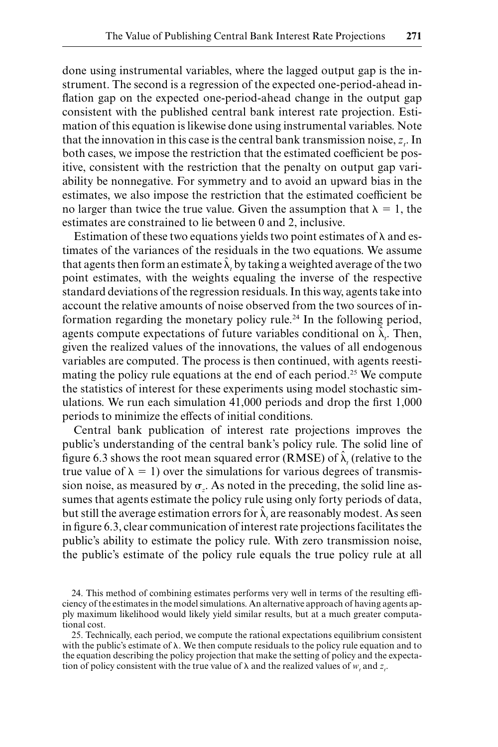done using instrumental variables, where the lagged output gap is the instrument. The second is a regression of the expected one-period-ahead inflation gap on the expected one-period-ahead change in the output gap consistent with the published central bank interest rate projection. Estimation of this equation is likewise done using instrumental variables. Note that the innovation in this case is the central bank transmission noise,  $z_t$ . In both cases, we impose the restriction that the estimated coefficient be positive, consistent with the restriction that the penalty on output gap variability be nonnegative. For symmetry and to avoid an upward bias in the estimates, we also impose the restriction that the estimated coefficient be no larger than twice the true value. Given the assumption that  $\lambda = 1$ , the estimates are constrained to lie between 0 and 2, inclusive.

Estimation of these two equations yields two point estimates of  $\lambda$  and estimates of the variances of the residuals in the two equations. We assume that agents then form an estimate  $\hat{\lambda}_i$  by taking a weighted average of the two point estimates, with the weights equaling the inverse of the respective standard deviations of the regression residuals. In this way, agents take into account the relative amounts of noise observed from the two sources of information regarding the monetary policy rule.24 In the following period, agents compute expectations of future variables conditional on  $\hat{\lambda}_i$ . Then, given the realized values of the innovations, the values of all endogenous variables are computed. The process is then continued, with agents reestimating the policy rule equations at the end of each period.<sup>25</sup> We compute the statistics of interest for these experiments using model stochastic simulations. We run each simulation 41,000 periods and drop the first 1,000 periods to minimize the effects of initial conditions.

Central bank publication of interest rate projections improves the public's understanding of the central bank's policy rule. The solid line of figure 6.3 shows the root mean squared error (RMSE) of  $\hat{\lambda}_t$  (relative to the true value of  $\lambda = 1$ ) over the simulations for various degrees of transmission noise, as measured by  $\sigma_z$ . As noted in the preceding, the solid line assumes that agents estimate the policy rule using only forty periods of data, but still the average estimation errors for  $\hat{\lambda}_i$  are reasonably modest. As seen in figure 6.3, clear communication of interest rate projections facilitates the public's ability to estimate the policy rule. With zero transmission noise, the public's estimate of the policy rule equals the true policy rule at all

24. This method of combining estimates performs very well in terms of the resulting efficiency of the estimates in the model simulations. An alternative approach of having agents apply maximum likelihood would likely yield similar results, but at a much greater computational cost.

25. Technically, each period, we compute the rational expectations equilibrium consistent with the public's estimate of  $\lambda$ . We then compute residuals to the policy rule equation and to the equation describing the policy projection that make the setting of policy and the expectation of policy consistent with the true value of  $\lambda$  and the realized values of  $w_t$ , and  $z_t$ .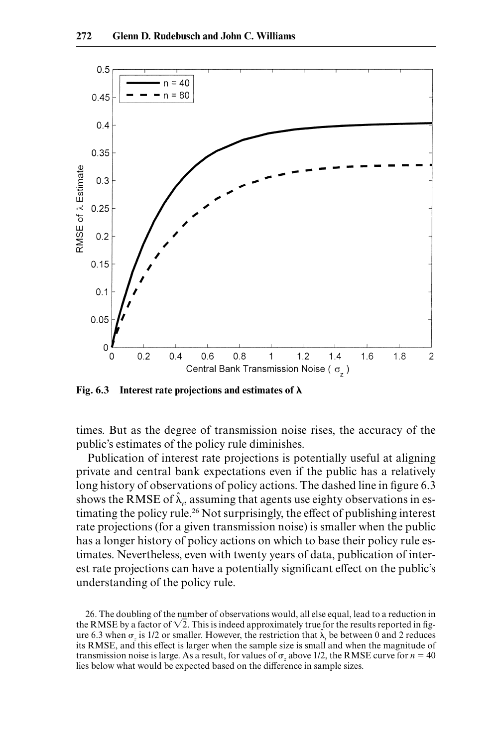

Fig. 6.3 Interest rate projections and estimates of  $\lambda$ 

times. But as the degree of transmission noise rises, the accuracy of the public's estimates of the policy rule diminishes.

Publication of interest rate projections is potentially useful at aligning private and central bank expectations even if the public has a relatively long history of observations of policy actions. The dashed line in figure 6.3 shows the RMSE of  $\hat{\lambda}_t$ , assuming that agents use eighty observations in estimating the policy rule.<sup>26</sup> Not surprisingly, the effect of publishing interest rate projections (for a given transmission noise) is smaller when the public has a longer history of policy actions on which to base their policy rule estimates. Nevertheless, even with twenty years of data, publication of interest rate projections can have a potentially significant effect on the public's understanding of the policy rule.

<sup>26.</sup> The doubling of the number of observations would, all else equal, lead to a reduction in the RMSE by a factor of  $\sqrt{2}$ . This is indeed approximately true for the results reported in figure 6.3 when  $\sigma_z$  is 1/2 or smaller. However, the restriction that  $\hat{\lambda}_t$  be between 0 and 2 reduces its RMSE, and this effect is larger when the sample size is small and when the magnitude of transmission noise is large. As a result, for values of  $\sigma_z$  above 1/2, the RMSE curve for  $n = 40$ lies below what would be expected based on the difference in sample sizes.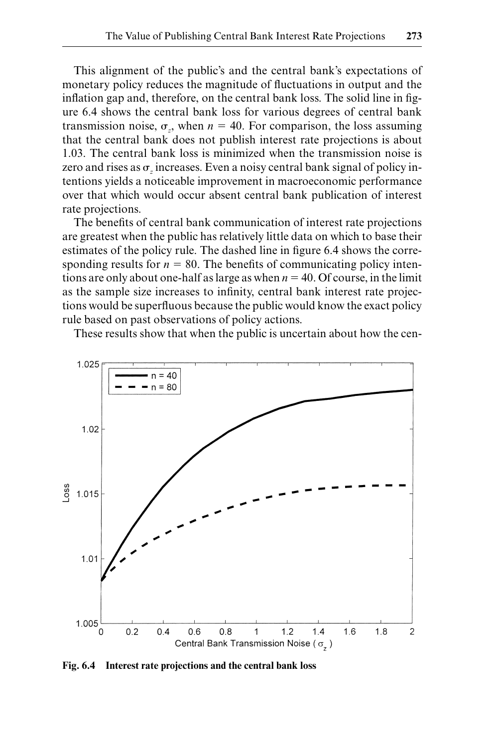This alignment of the public's and the central bank's expectations of monetary policy reduces the magnitude of fluctuations in output and the inflation gap and, therefore, on the central bank loss. The solid line in figure 6.4 shows the central bank loss for various degrees of central bank transmission noise,  $\sigma_z$ , when  $n = 40$ . For comparison, the loss assuming that the central bank does not publish interest rate projections is about 1.03. The central bank loss is minimized when the transmission noise is zero and rises as  $\sigma_z$  increases. Even a noisy central bank signal of policy intentions yields a noticeable improvement in macroeconomic performance over that which would occur absent central bank publication of interest rate projections.

The benefits of central bank communication of interest rate projections are greatest when the public has relatively little data on which to base their estimates of the policy rule. The dashed line in figure 6.4 shows the corresponding results for  $n = 80$ . The benefits of communicating policy intentions are only about one-half as large as when  $n = 40$ . Of course, in the limit as the sample size increases to infinity, central bank interest rate projections would be superfluous because the public would know the exact policy rule based on past observations of policy actions.

These results show that when the public is uncertain about how the cen-



**Fig. 6.4 Interest rate projections and the central bank loss**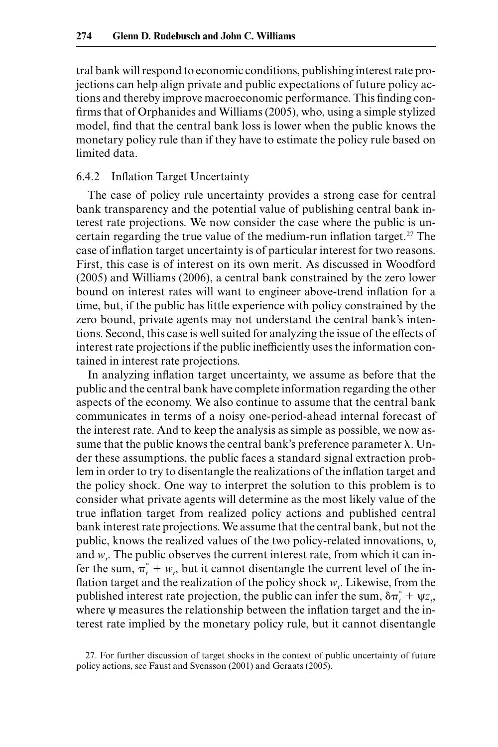tral bank will respond to economic conditions, publishing interest rate projections can help align private and public expectations of future policy actions and thereby improve macroeconomic performance. This finding confirms that of Orphanides and Williams (2005), who, using a simple stylized model, find that the central bank loss is lower when the public knows the monetary policy rule than if they have to estimate the policy rule based on limited data.

#### 6.4.2 Inflation Target Uncertainty

The case of policy rule uncertainty provides a strong case for central bank transparency and the potential value of publishing central bank interest rate projections. We now consider the case where the public is uncertain regarding the true value of the medium-run inflation target.<sup>27</sup> The case of inflation target uncertainty is of particular interest for two reasons. First, this case is of interest on its own merit. As discussed in Woodford (2005) and Williams (2006), a central bank constrained by the zero lower bound on interest rates will want to engineer above-trend inflation for a time, but, if the public has little experience with policy constrained by the zero bound, private agents may not understand the central bank's intentions. Second, this case is well suited for analyzing the issue of the effects of interest rate projections if the public inefficiently uses the information contained in interest rate projections.

In analyzing inflation target uncertainty, we assume as before that the public and the central bank have complete information regarding the other aspects of the economy. We also continue to assume that the central bank communicates in terms of a noisy one-period-ahead internal forecast of the interest rate. And to keep the analysis as simple as possible, we now assume that the public knows the central bank's preference parameter  $\lambda$ . Under these assumptions, the public faces a standard signal extraction problem in order to try to disentangle the realizations of the inflation target and the policy shock. One way to interpret the solution to this problem is to consider what private agents will determine as the most likely value of the true inflation target from realized policy actions and published central bank interest rate projections. We assume that the central bank, but not the public, knows the realized values of the two policy-related innovations, υ*<sup>t</sup>* and  $w_t$ . The public observes the current interest rate, from which it can infer the sum,  $\pi_t^* + w_t$ , but it cannot disentangle the current level of the inflation target and the realization of the policy shock  $w_t$ . Likewise, from the published interest rate projection, the public can infer the sum,  $\delta \pi_t^* + \psi z_t$ , where ψ measures the relationship between the inflation target and the interest rate implied by the monetary policy rule, but it cannot disentangle

<sup>27.</sup> For further discussion of target shocks in the context of public uncertainty of future policy actions, see Faust and Svensson (2001) and Geraats (2005).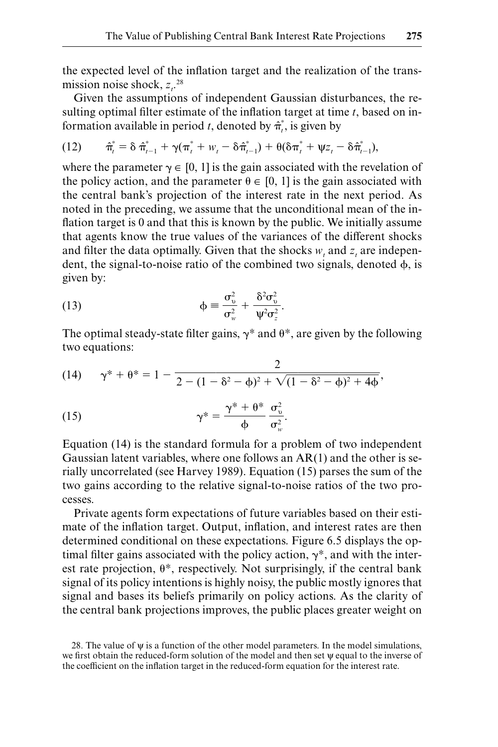the expected level of the inflation target and the realization of the transmission noise shock,  $z_t$ <sup>28</sup>

Given the assumptions of independent Gaussian disturbances, the resulting optimal filter estimate of the inflation target at time *t*, based on information available in period *t*, denoted by  $\hat{\pi}_t^*$ , is given by

(12) 
$$
\hat{\pi}_t^* = \delta \hat{\pi}_{t-1}^* + \gamma (\pi_t^* + w_t - \delta \hat{\pi}_{t-1}^*) + \theta (\delta \pi_t^* + \psi z_t - \delta \hat{\pi}_{t-1}^*),
$$

where the parameter  $\gamma \in [0, 1]$  is the gain associated with the revelation of the policy action, and the parameter  $\theta \in [0, 1]$  is the gain associated with the central bank's projection of the interest rate in the next period. As noted in the preceding, we assume that the unconditional mean of the inflation target is 0 and that this is known by the public. We initially assume that agents know the true values of the variances of the different shocks and filter the data optimally. Given that the shocks  $w_i$  and  $z_i$  are independent, the signal-to-noise ratio of the combined two signals, denoted  $\phi$ , is given by:

(13) 
$$
\phi \equiv \frac{\sigma_v^2}{\sigma_w^2} + \frac{\delta^2 \sigma_v^2}{\psi^2 \sigma_z^2}.
$$

The optimal steady-state filter gains,  $\gamma^*$  and  $\theta^*$ , are given by the following two equations:

two equations:  
(14) 
$$
\gamma^* + \theta^* = 1 - \frac{2}{2 - (1 - \delta^2 - \phi)^2 + \sqrt{(1 - \delta^2 - \phi)^2 + 4\phi}}
$$

(15) 
$$
\gamma^* = \frac{\gamma^* + \theta^*}{\phi} \frac{\sigma_v^2}{\sigma_w^2}.
$$

Equation (14) is the standard formula for a problem of two independent Gaussian latent variables, where one follows an AR(1) and the other is serially uncorrelated (see Harvey 1989). Equation (15) parses the sum of the two gains according to the relative signal-to-noise ratios of the two processes.

Private agents form expectations of future variables based on their estimate of the inflation target. Output, inflation, and interest rates are then determined conditional on these expectations. Figure 6.5 displays the optimal filter gains associated with the policy action,  $\gamma^*$ , and with the interest rate projection,  $\theta^*$ , respectively. Not surprisingly, if the central bank signal of its policy intentions is highly noisy, the public mostly ignores that signal and bases its beliefs primarily on policy actions. As the clarity of the central bank projections improves, the public places greater weight on

<sup>28.</sup> The value of  $\psi$  is a function of the other model parameters. In the model simulations, we first obtain the reduced-form solution of the model and then set ψ equal to the inverse of the coefficient on the inflation target in the reduced-form equation for the interest rate.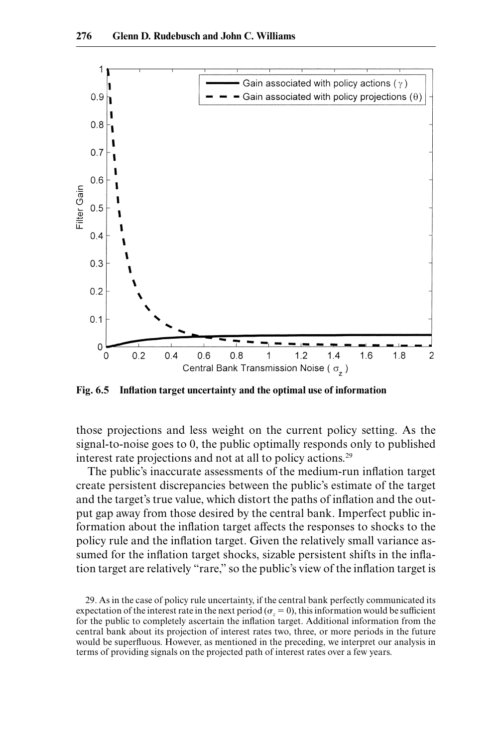

**Fig. 6.5 Inflation target uncertainty and the optimal use of information**

those projections and less weight on the current policy setting. As the signal-to-noise goes to 0, the public optimally responds only to published interest rate projections and not at all to policy actions.<sup>29</sup>

The public's inaccurate assessments of the medium-run inflation target create persistent discrepancies between the public's estimate of the target and the target's true value, which distort the paths of inflation and the output gap away from those desired by the central bank. Imperfect public information about the inflation target affects the responses to shocks to the policy rule and the inflation target. Given the relatively small variance assumed for the inflation target shocks, sizable persistent shifts in the inflation target are relatively "rare," so the public's view of the inflation target is

<sup>29.</sup> As in the case of policy rule uncertainty, if the central bank perfectly communicated its expectation of the interest rate in the next period ( $\sigma_z = 0$ ), this information would be sufficient for the public to completely ascertain the inflation target. Additional information from the central bank about its projection of interest rates two, three, or more periods in the future would be superfluous. However, as mentioned in the preceding, we interpret our analysis in terms of providing signals on the projected path of interest rates over a few years.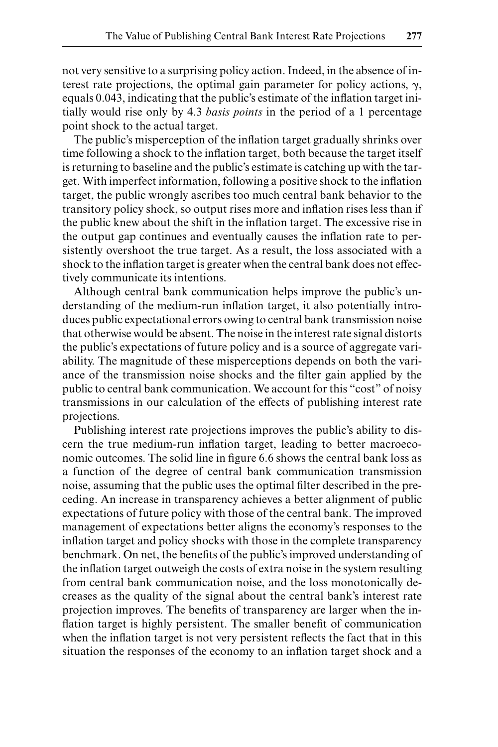not very sensitive to a surprising policy action. Indeed, in the absence of interest rate projections, the optimal gain parameter for policy actions,  $\gamma$ , equals 0.043, indicating that the public's estimate of the inflation target initially would rise only by 4.3 *basis points* in the period of a 1 percentage point shock to the actual target.

The public's misperception of the inflation target gradually shrinks over time following a shock to the inflation target, both because the target itself is returning to baseline and the public's estimate is catching up with the target. With imperfect information, following a positive shock to the inflation target, the public wrongly ascribes too much central bank behavior to the transitory policy shock, so output rises more and inflation rises less than if the public knew about the shift in the inflation target. The excessive rise in the output gap continues and eventually causes the inflation rate to persistently overshoot the true target. As a result, the loss associated with a shock to the inflation target is greater when the central bank does not effectively communicate its intentions.

Although central bank communication helps improve the public's understanding of the medium-run inflation target, it also potentially introduces public expectational errors owing to central bank transmission noise that otherwise would be absent. The noise in the interest rate signal distorts the public's expectations of future policy and is a source of aggregate variability. The magnitude of these misperceptions depends on both the variance of the transmission noise shocks and the filter gain applied by the public to central bank communication. We account for this "cost" of noisy transmissions in our calculation of the effects of publishing interest rate projections.

Publishing interest rate projections improves the public's ability to discern the true medium-run inflation target, leading to better macroeconomic outcomes. The solid line in figure 6.6 shows the central bank loss as a function of the degree of central bank communication transmission noise, assuming that the public uses the optimal filter described in the preceding. An increase in transparency achieves a better alignment of public expectations of future policy with those of the central bank. The improved management of expectations better aligns the economy's responses to the inflation target and policy shocks with those in the complete transparency benchmark. On net, the benefits of the public's improved understanding of the inflation target outweigh the costs of extra noise in the system resulting from central bank communication noise, and the loss monotonically decreases as the quality of the signal about the central bank's interest rate projection improves. The benefits of transparency are larger when the inflation target is highly persistent. The smaller benefit of communication when the inflation target is not very persistent reflects the fact that in this situation the responses of the economy to an inflation target shock and a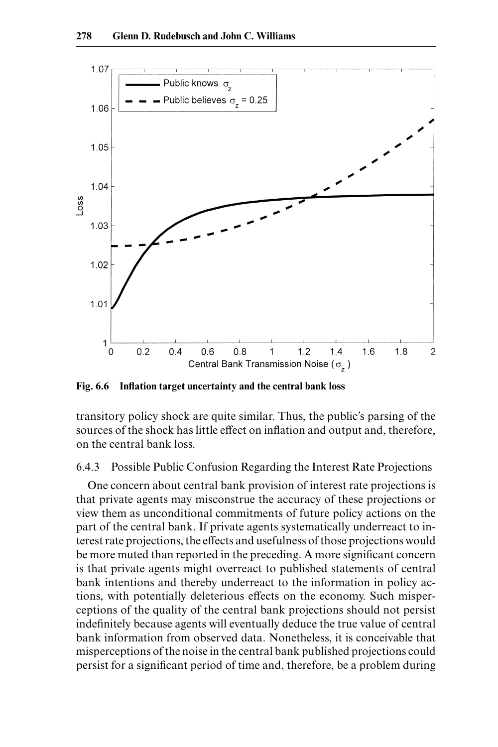

**Fig. 6.6 Inflation target uncertainty and the central bank loss**

transitory policy shock are quite similar. Thus, the public's parsing of the sources of the shock has little effect on inflation and output and, therefore, on the central bank loss.

6.4.3 Possible Public Confusion Regarding the Interest Rate Projections

One concern about central bank provision of interest rate projections is that private agents may misconstrue the accuracy of these projections or view them as unconditional commitments of future policy actions on the part of the central bank. If private agents systematically underreact to interest rate projections, the effects and usefulness of those projections would be more muted than reported in the preceding. A more significant concern is that private agents might overreact to published statements of central bank intentions and thereby underreact to the information in policy actions, with potentially deleterious effects on the economy. Such misperceptions of the quality of the central bank projections should not persist indefinitely because agents will eventually deduce the true value of central bank information from observed data. Nonetheless, it is conceivable that misperceptions of the noise in the central bank published projections could persist for a significant period of time and, therefore, be a problem during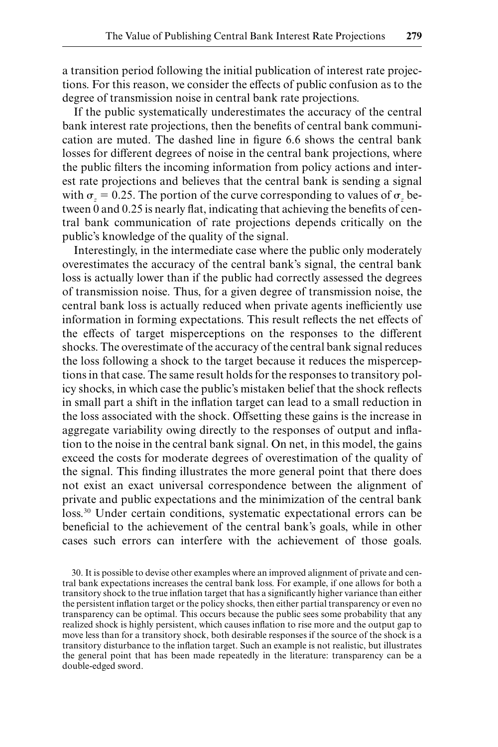a transition period following the initial publication of interest rate projections. For this reason, we consider the effects of public confusion as to the degree of transmission noise in central bank rate projections.

If the public systematically underestimates the accuracy of the central bank interest rate projections, then the benefits of central bank communication are muted. The dashed line in figure 6.6 shows the central bank losses for different degrees of noise in the central bank projections, where the public filters the incoming information from policy actions and interest rate projections and believes that the central bank is sending a signal with  $\sigma_z = 0.25$ . The portion of the curve corresponding to values of  $\sigma_z$  between 0 and 0.25 is nearly flat, indicating that achieving the benefits of central bank communication of rate projections depends critically on the public's knowledge of the quality of the signal.

Interestingly, in the intermediate case where the public only moderately overestimates the accuracy of the central bank's signal, the central bank loss is actually lower than if the public had correctly assessed the degrees of transmission noise. Thus, for a given degree of transmission noise, the central bank loss is actually reduced when private agents inefficiently use information in forming expectations. This result reflects the net effects of the effects of target misperceptions on the responses to the different shocks. The overestimate of the accuracy of the central bank signal reduces the loss following a shock to the target because it reduces the misperceptions in that case. The same result holds for the responses to transitory policy shocks, in which case the public's mistaken belief that the shock reflects in small part a shift in the inflation target can lead to a small reduction in the loss associated with the shock. Offsetting these gains is the increase in aggregate variability owing directly to the responses of output and inflation to the noise in the central bank signal. On net, in this model, the gains exceed the costs for moderate degrees of overestimation of the quality of the signal. This finding illustrates the more general point that there does not exist an exact universal correspondence between the alignment of private and public expectations and the minimization of the central bank loss.30 Under certain conditions, systematic expectational errors can be beneficial to the achievement of the central bank's goals, while in other cases such errors can interfere with the achievement of those goals.

30. It is possible to devise other examples where an improved alignment of private and central bank expectations increases the central bank loss. For example, if one allows for both a transitory shock to the true inflation target that has a significantly higher variance than either the persistent inflation target or the policy shocks, then either partial transparency or even no transparency can be optimal. This occurs because the public sees some probability that any realized shock is highly persistent, which causes inflation to rise more and the output gap to move less than for a transitory shock, both desirable responses if the source of the shock is a transitory disturbance to the inflation target. Such an example is not realistic, but illustrates the general point that has been made repeatedly in the literature: transparency can be a double-edged sword.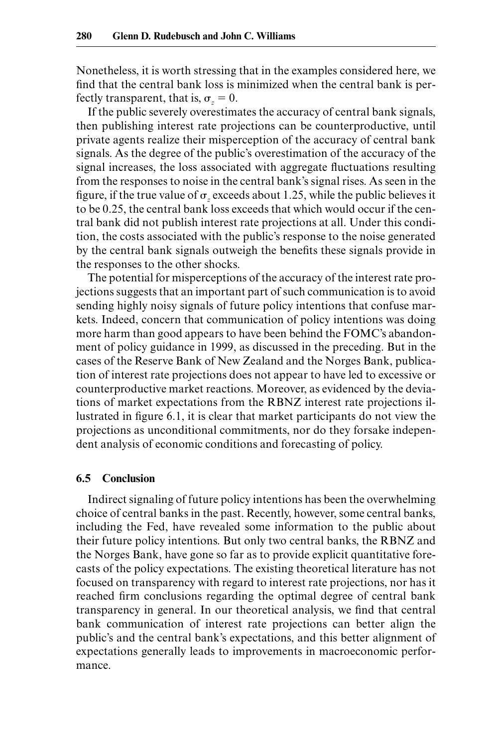Nonetheless, it is worth stressing that in the examples considered here, we find that the central bank loss is minimized when the central bank is perfectly transparent, that is,  $\sigma_z = 0$ .

If the public severely overestimates the accuracy of central bank signals, then publishing interest rate projections can be counterproductive, until private agents realize their misperception of the accuracy of central bank signals. As the degree of the public's overestimation of the accuracy of the signal increases, the loss associated with aggregate fluctuations resulting from the responses to noise in the central bank's signal rises. As seen in the figure, if the true value of  $\sigma_z$  exceeds about 1.25, while the public believes it to be 0.25, the central bank loss exceeds that which would occur if the central bank did not publish interest rate projections at all. Under this condition, the costs associated with the public's response to the noise generated by the central bank signals outweigh the benefits these signals provide in the responses to the other shocks.

The potential for misperceptions of the accuracy of the interest rate projections suggests that an important part of such communication is to avoid sending highly noisy signals of future policy intentions that confuse markets. Indeed, concern that communication of policy intentions was doing more harm than good appears to have been behind the FOMC's abandonment of policy guidance in 1999, as discussed in the preceding. But in the cases of the Reserve Bank of New Zealand and the Norges Bank, publication of interest rate projections does not appear to have led to excessive or counterproductive market reactions. Moreover, as evidenced by the deviations of market expectations from the RBNZ interest rate projections illustrated in figure 6.1, it is clear that market participants do not view the projections as unconditional commitments, nor do they forsake independent analysis of economic conditions and forecasting of policy.

#### **6.5 Conclusion**

Indirect signaling of future policy intentions has been the overwhelming choice of central banks in the past. Recently, however, some central banks, including the Fed, have revealed some information to the public about their future policy intentions. But only two central banks, the RBNZ and the Norges Bank, have gone so far as to provide explicit quantitative forecasts of the policy expectations. The existing theoretical literature has not focused on transparency with regard to interest rate projections, nor has it reached firm conclusions regarding the optimal degree of central bank transparency in general. In our theoretical analysis, we find that central bank communication of interest rate projections can better align the public's and the central bank's expectations, and this better alignment of expectations generally leads to improvements in macroeconomic performance.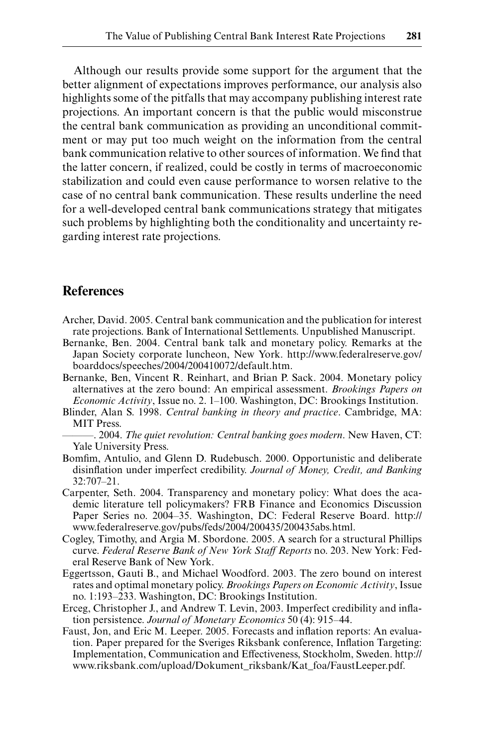Although our results provide some support for the argument that the better alignment of expectations improves performance, our analysis also highlights some of the pitfalls that may accompany publishing interest rate projections. An important concern is that the public would misconstrue the central bank communication as providing an unconditional commitment or may put too much weight on the information from the central bank communication relative to other sources of information. We find that the latter concern, if realized, could be costly in terms of macroeconomic stabilization and could even cause performance to worsen relative to the case of no central bank communication. These results underline the need for a well-developed central bank communications strategy that mitigates such problems by highlighting both the conditionality and uncertainty regarding interest rate projections.

# **References**

- Archer, David. 2005. Central bank communication and the publication for interest rate projections. Bank of International Settlements. Unpublished Manuscript.
- Bernanke, Ben. 2004. Central bank talk and monetary policy. Remarks at the Japan Society corporate luncheon, New York. http://www.federalreserve.gov/ boarddocs/speeches/2004/200410072/default.htm.
- Bernanke, Ben, Vincent R. Reinhart, and Brian P. Sack. 2004. Monetary policy alternatives at the zero bound: An empirical assessment. *Brookings Papers on Economic Activity*, Issue no. 2. 1–100. Washington, DC: Brookings Institution.
- Blinder, Alan S. 1998. *Central banking in theory and practice*. Cambridge, MA: MIT Press.
- ———. 2004. *The quiet revolution: Central banking goes modern*. New Haven, CT: Yale University Press.
- Bomfim, Antulio, and Glenn D. Rudebusch. 2000. Opportunistic and deliberate disinflation under imperfect credibility. *Journal of Money, Credit, and Banking* 32:707–21.
- Carpenter, Seth. 2004. Transparency and monetary policy: What does the academic literature tell policymakers? FRB Finance and Economics Discussion Paper Series no. 2004–35. Washington, DC: Federal Reserve Board. http:// www.federalreserve.gov/pubs/feds/2004/200435/200435abs.html.
- Cogley, Timothy, and Argia M. Sbordone. 2005. A search for a structural Phillips curve. *Federal Reserve Bank of New York Staff Reports* no. 203. New York: Federal Reserve Bank of New York.
- Eggertsson, Gauti B., and Michael Woodford. 2003. The zero bound on interest rates and optimal monetary policy. *Brookings Papers on Economic Activity*, Issue no. 1:193–233. Washington, DC: Brookings Institution.
- Erceg, Christopher J., and Andrew T. Levin, 2003. Imperfect credibility and inflation persistence. *Journal of Monetary Economics* 50 (4): 915–44.
- Faust, Jon, and Eric M. Leeper. 2005. Forecasts and inflation reports: An evaluation. Paper prepared for the Sveriges Riksbank conference, Inflation Targeting: Implementation, Communication and Effectiveness, Stockholm, Sweden. http:// www.riksbank.com/upload/Dokument\_riksbank/Kat\_foa/FaustLeeper.pdf.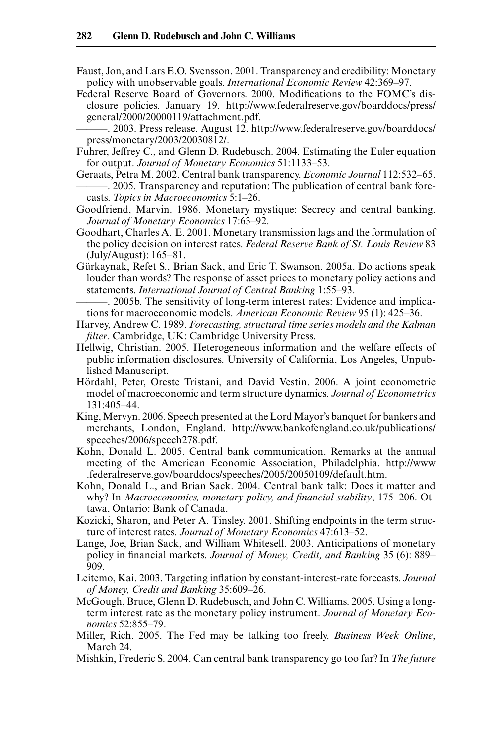- Faust, Jon, and Lars E.O. Svensson. 2001. Transparency and credibility: Monetary policy with unobservable goals. *International Economic Review* 42:369–97.
- Federal Reserve Board of Governors. 2000. Modifications to the FOMC's disclosure policies. January 19. http://www.federalreserve.gov/boarddocs/press/ general/2000/20000119/attachment.pdf.

———. 2003. Press release. August 12. http://www.federalreserve.gov/boarddocs/ press/monetary/2003/20030812/.

- Fuhrer, Jeffrey C., and Glenn D. Rudebusch. 2004. Estimating the Euler equation for output. *Journal of Monetary Economics* 51:1133–53.
- Geraats, Petra M. 2002. Central bank transparency. *Economic Journal* 112:532–65. ———. 2005. Transparency and reputation: The publication of central bank forecasts. *Topics in Macroeconomics* 5:1–26.
- Goodfriend, Marvin. 1986. Monetary mystique: Secrecy and central banking. *Journal of Monetary Economics* 17:63–92.
- Goodhart, Charles A. E. 2001. Monetary transmission lags and the formulation of the policy decision on interest rates. *Federal Reserve Bank of St. Louis Review* 83 (July/August): 165–81.
- Gürkaynak, Refet S., Brian Sack, and Eric T. Swanson. 2005a. Do actions speak louder than words? The response of asset prices to monetary policy actions and statements. *International Journal of Central Banking* 1:55–93.
- ———. 2005b. The sensitivity of long-term interest rates: Evidence and implications for macroeconomic models. *American Economic Review* 95 (1): 425–36.
- Harvey, Andrew C. 1989. *Forecasting, structural time series models and the Kalman filter*. Cambridge, UK: Cambridge University Press.
- Hellwig, Christian. 2005. Heterogeneous information and the welfare effects of public information disclosures. University of California, Los Angeles, Unpublished Manuscript.
- Hördahl, Peter, Oreste Tristani, and David Vestin. 2006. A joint econometric model of macroeconomic and term structure dynamics. *Journal of Econometrics* 131:405–44.
- King, Mervyn. 2006. Speech presented at the Lord Mayor's banquet for bankers and merchants, London, England. http://www.bankofengland.co.uk/publications/ speeches/2006/speech278.pdf.
- Kohn, Donald L. 2005. Central bank communication. Remarks at the annual meeting of the American Economic Association, Philadelphia. http://www .federalreserve.gov/boarddocs/speeches/2005/20050109/default.htm.
- Kohn, Donald L., and Brian Sack. 2004. Central bank talk: Does it matter and why? In *Macroeconomics, monetary policy, and financial stability*, 175–206. Ottawa, Ontario: Bank of Canada.
- Kozicki, Sharon, and Peter A. Tinsley. 2001. Shifting endpoints in the term structure of interest rates. *Journal of Monetary Economics* 47:613–52.
- Lange, Joe, Brian Sack, and William Whitesell. 2003. Anticipations of monetary policy in financial markets. *Journal of Money, Credit, and Banking* 35 (6): 889– 909.
- Leitemo, Kai. 2003. Targeting inflation by constant-interest-rate forecasts. *Journal of Money, Credit and Banking* 35:609–26.
- McGough, Bruce, Glenn D. Rudebusch, and John C. Williams. 2005. Using a longterm interest rate as the monetary policy instrument. *Journal of Monetary Economics* 52:855–79.
- Miller, Rich. 2005. The Fed may be talking too freely. *Business Week Online*, March 24.
- Mishkin, Frederic S. 2004. Can central bank transparency go too far? In *The future*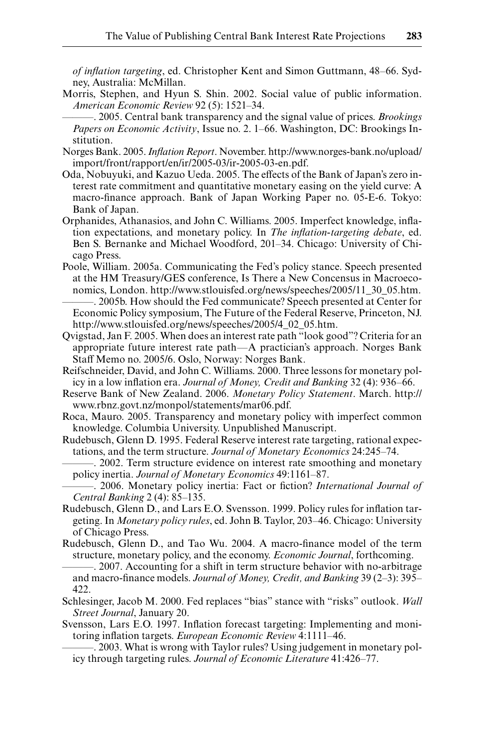*of inflation targeting*, ed. Christopher Kent and Simon Guttmann, 48–66. Sydney, Australia: McMillan.

Morris, Stephen, and Hyun S. Shin. 2002. Social value of public information. *American Economic Review* 92 (5): 1521–34.

———. 2005. Central bank transparency and the signal value of prices. *Brookings Papers on Economic Activity*, Issue no. 2. 1–66. Washington, DC: Brookings Institution.

- Norges Bank. 2005. *Inflation Report*. November. http://www.norges-bank.no/upload/ import/front/rapport/en/ir/2005-03/ir-2005-03-en.pdf.
- Oda, Nobuyuki, and Kazuo Ueda. 2005. The effects of the Bank of Japan's zero interest rate commitment and quantitative monetary easing on the yield curve: A macro-finance approach. Bank of Japan Working Paper no. 05-E-6. Tokyo: Bank of Japan.
- Orphanides, Athanasios, and John C. Williams. 2005. Imperfect knowledge, inflation expectations, and monetary policy. In *The inflation-targeting debate*, ed. Ben S. Bernanke and Michael Woodford, 201–34. Chicago: University of Chicago Press.
- Poole, William. 2005a. Communicating the Fed's policy stance. Speech presented at the HM Treasury/GES conference, Is There a New Concensus in Macroeconomics, London. http://www.stlouisfed.org/news/speeches/2005/11\_30\_05.htm.
- ———. 2005b. How should the Fed communicate? Speech presented at Center for Economic Policy symposium, The Future of the Federal Reserve, Princeton, NJ. http://www.stlouisfed.org/news/speeches/2005/4\_02\_05.htm.
- Qvigstad, Jan F. 2005. When does an interest rate path "look good"? Criteria for an appropriate future interest rate path—A practician's approach. Norges Bank Staff Memo no. 2005/6. Oslo, Norway: Norges Bank.
- Reifschneider, David, and John C. Williams. 2000. Three lessons for monetary policy in a low inflation era. *Journal of Money, Credit and Banking* 32 (4): 936–66.
- Reserve Bank of New Zealand. 2006. *Monetary Policy Statement*. March. http:// www.rbnz.govt.nz/monpol/statements/mar06.pdf.
- Roca, Mauro. 2005. Transparency and monetary policy with imperfect common knowledge. Columbia University. Unpublished Manuscript.
- Rudebusch, Glenn D. 1995. Federal Reserve interest rate targeting, rational expectations, and the term structure. *Journal of Monetary Economics* 24:245–74.
- -, 2002. Term structure evidence on interest rate smoothing and monetary policy inertia. *Journal of Monetary Economics* 49:1161–87.
- ———. 2006. Monetary policy inertia: Fact or fiction? *International Journal of Central Banking* 2 (4): 85–135.
- Rudebusch, Glenn D., and Lars E.O. Svensson. 1999. Policy rules for inflation targeting. In *Monetary policy rules*, ed. John B. Taylor, 203–46. Chicago: University of Chicago Press.
- Rudebusch, Glenn D., and Tao Wu. 2004. A macro-finance model of the term structure, monetary policy, and the economy. *Economic Journal*, forthcoming.
	- ———. 2007. Accounting for a shift in term structure behavior with no-arbitrage and macro-finance models. *Journal of Money, Credit, and Banking* 39 (2–3): 395– 422.
- Schlesinger, Jacob M. 2000. Fed replaces "bias" stance with "risks" outlook. *Wall Street Journal*, January 20.
- Svensson, Lars E.O. 1997. Inflation forecast targeting: Implementing and monitoring inflation targets. *European Economic Review* 4:1111–46.
	- ———. 2003. What is wrong with Taylor rules? Using judgement in monetary policy through targeting rules. *Journal of Economic Literature* 41:426–77.